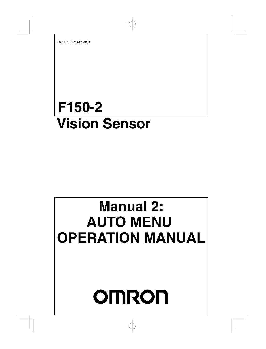# **F150-2 Vision Sensor**

# **Manual 2: AUTO MENU OPERATION MANUAL**

# **OMRON**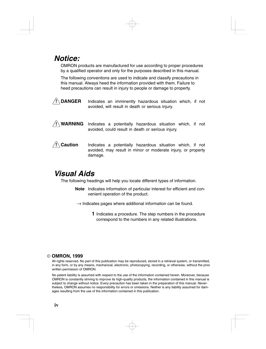# *Notice:*

OMRON products are manufactured for use according to proper procedures by a qualified operator and only for the purposes described in this manual.

The following conventions are used to indicate and classify precautions in this manual. Always heed the information provided with them. Failure to heed precautions can result in injury to people or damage to property.



**! WARNING** Indicates a potentially hazardous situation which, if not avoided, could result in death or serious injury.

#### **/!∖** Caution **Caution** Indicates a potentially hazardous situation which, if not avoided, may result in minor or moderate injury, or property damage.

# *Visual Aids*

The following headings will help you locate different types of information.

- **Note** Indicates information of particular interest for efficient and convenient operation of the product.
- $\rightarrow$  Indicates pages where additional information can be found.
	- **1** Indicates a procedure. The step numbers in the procedure correspond to the numbers in any related illustrations.

#### **OMRON, 1999**

All rights reserved. No part of this publication may be reproduced, stored in a retrieval system, or transmitted, in any form, or by any means, mechanical, electronic, photocopying, recording, or otherwise, without the prior written permission of OMRON.

No patent liability is assumed with respect to the use of the information contained herein. Moreover, because OMRON is constantly striving to improve its high-quality products, the information contained in this manual is subject to change without notice. Every precaution has been taken in the preparation of this manual. Nevertheless, OMRON assumes no responsibility for errors or omissions. Neither is any liability assumed for damages resulting from the use of the information contained in this publication.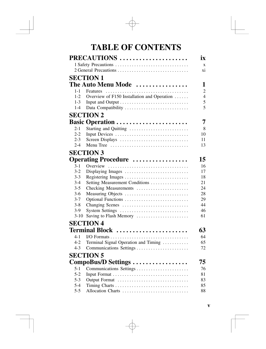# **TABLE OF CONTENTS**

|                  | PRECAUTIONS                                                                   | ix                       |
|------------------|-------------------------------------------------------------------------------|--------------------------|
|                  | 1 Safety Precautions                                                          | X                        |
|                  |                                                                               | xi                       |
|                  | <b>SECTION 1</b>                                                              |                          |
|                  |                                                                               |                          |
|                  | The Auto Menu Mode                                                            | 1                        |
| $1 - 1$          |                                                                               | $\overline{2}$           |
| $1 - 2$          | Overview of F150 Installation and Operation                                   | $\overline{\mathcal{L}}$ |
| $1 - 3$          |                                                                               | 5<br>5                   |
| $1 - 4$          | Data Compatibility                                                            |                          |
|                  | <b>SECTION 2</b>                                                              |                          |
|                  | Basic Operation                                                               | 7                        |
| 2-1              | Starting and Quitting                                                         | 8                        |
| $2 - 2$          | Input Devices                                                                 | 10                       |
| $2 - 3$          | Screen Displays                                                               | 11                       |
| $2 - 4$          | Menu Tree $\dots\dots\dots\dots\dots\dots\dots\dots\dots\dots\dots\dots\dots$ | 13                       |
|                  | <b>SECTION 3</b>                                                              |                          |
|                  | <b>Operating Procedure </b>                                                   | 15                       |
| $3-1$            | Overview                                                                      | 16                       |
| $3 - 2$          | Displaying Images                                                             | 17                       |
| $3-3$            | Registering Images                                                            | 18                       |
| $3-4$            | Setting Measurement Conditions                                                | 21                       |
| $3 - 5$          | Checking Measurements                                                         | 24                       |
| $3-6$            | Measuring Objects                                                             | 28                       |
| $3 - 7$          | Optional Functions                                                            | 29                       |
| $3 - 8$          | Changing Scenes                                                               | 44                       |
| $3-9$            | System Settings                                                               | 46                       |
| $3-10$           | Saving to Flash Memory                                                        | 61                       |
|                  | <b>SECTION 4</b>                                                              |                          |
|                  | <b>Terminal Block </b>                                                        | 63                       |
| 4-1              |                                                                               | 64                       |
| $4-2$            | Terminal Signal Operation and Timing                                          | 65                       |
| $4-3$            | Communications Settings                                                       | 72                       |
|                  | <b>SECTION 5</b>                                                              |                          |
|                  |                                                                               | 75                       |
|                  | CompoBus/D Settings                                                           |                          |
| $5 - 1$          |                                                                               | 76                       |
| $5-2$<br>$5 - 3$ |                                                                               | 81                       |
| $5 - 4$          | Output Format                                                                 | 83<br>85                 |
| $5 - 5$          | Allocation Charts                                                             | 88                       |
|                  |                                                                               |                          |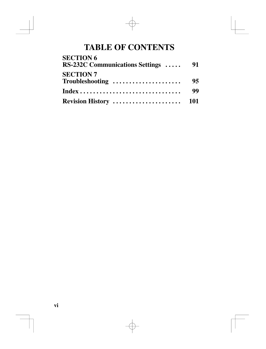# **TABLE OF CONTENTS**

| <b>SECTION 6</b>                    |    |
|-------------------------------------|----|
| RS-232C Communications Settings  91 |    |
| <b>SECTION 7</b>                    |    |
| Troubleshooting                     | 95 |
|                                     | 99 |
|                                     |    |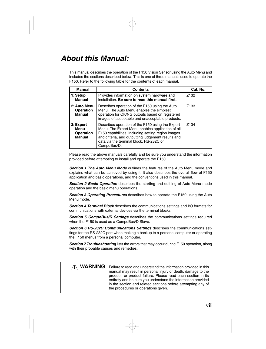# *About this Manual:*

This manual describes the operation of the F150 Vision Sensor using the Auto Menu and includes the sections described below. This is one of three manuals used to operate the F150. Refer to the following table for the contents of each manual.

| <b>Manual</b>                                          | <b>Contents</b>                                                                                                                                                                                                                                                            | Cat. No.         |
|--------------------------------------------------------|----------------------------------------------------------------------------------------------------------------------------------------------------------------------------------------------------------------------------------------------------------------------------|------------------|
| 1: Setup<br><b>Manual</b>                              | Provides information on system hardware and<br>installation. Be sure to read this manual first.                                                                                                                                                                            | Z <sub>132</sub> |
| 2: Auto Menu<br>Operation<br><b>Manual</b>             | Describes operation of the F150 using the Auto<br>Menu. The Auto Menu enables the simplest<br>operation for OK/NG outputs based on registered<br>images of acceptable and unacceptable products.                                                                           | Z <sub>133</sub> |
| 3: Expert<br>Menu<br><b>Operation</b><br><b>Manual</b> | Describes operation of the F150 using the Expert<br>Menu. The Expert Menu enables application of all<br>F150 capabilities, including setting region images<br>and criteria, and outputting judgement results and<br>data via the terminal block, RS-232C or<br>CompoBus/D. | 7134             |

Please read the above manuals carefully and be sure you understand the information provided before attempting to install and operate the F150.

*Section 1 The Auto Menu Mode* outlines the features of the Auto Menu mode and explains what can be achieved by using it. It also describes the overall flow of F150 application and basic operations, and the conventions used in this manual.

*Section 2 Basic Operation* describes the starting and quitting of Auto Menu mode operation and the basic menu operations.

*Section 3 Operating Procedures* describes how to operate the F150 using the Auto Menu mode.

*Section 4 Terminal Block* describes the communications settings and I/O formats for communications with external devices via the terminal blocks.

*Section 5 CompoBus/D Settings* describes the communications settings required when the F150 is used as a CompoBus/D Slave.

*Section 6 RS-232C Communications Settings* describes the communications settings for the RS-232C port when making a backup to a personal computer or operating the F150 menus from a personal computer.

*Section 7 Troubleshooting* lists the errors that may occur during F150 operation, along with their probable causes and remedies.

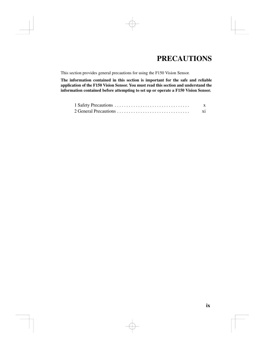# **PRECAUTIONS**

This section provides general precautions for using the F150 Vision Sensor.

**The information contained in this section is important for the safe and reliable application of the F150 Vision Sensor. You must read this section and understand the information contained before attempting to set up or operate a F150 Vision Sensor.**

| 2 General Precautions |  |
|-----------------------|--|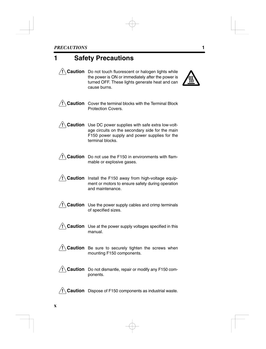# **1 Safety Precautions**

**! Caution** Do not touch fluorescent or halogen lights while the power is ON or immediately after the power is turned OFF. These lights generate heat and can cause burns.



**! Caution** Cover the terminal blocks with the Terminal Block Protection Covers.



**! Caution** Do not use the F150 in environments with flammable or explosive gases.

**! Caution** Install the F150 away from high-voltage equipment or motors to ensure safety during operation and maintenance.

**! Caution** Use the power supply cables and crimp terminals of specified sizes.

**! Caution** Use at the power supply voltages specified in this manual.

**! Caution** Be sure to securely tighten the screws when mounting F150 components.

**! Caution** Do not dismantle, repair or modify any F150 components.

**! Caution** Dispose of F150 components as industrial waste.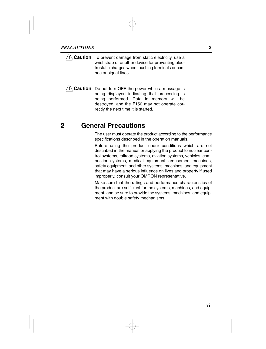- **! Caution** To prevent damage from static electricity, use a wrist strap or another device for preventing electrostatic charges when touching terminals or connector signal lines.
- **! Caution** Do not turn OFF the power while a message is being displayed indicating that processing is being performed. Data in memory will be destroyed, and the F150 may not operate correctly the next time it is started.

# **2 General Precautions**

The user must operate the product according to the performance specifications described in the operation manuals.

Before using the product under conditions which are not described in the manual or applying the product to nuclear control systems, railroad systems, aviation systems, vehicles, combustion systems, medical equipment, amusement machines, safety equipment, and other systems, machines, and equipment that may have a serious influence on lives and property if used improperly, consult your OMRON representative.

Make sure that the ratings and performance characteristics of the product are sufficient for the systems, machines, and equipment, and be sure to provide the systems, machines, and equipment with double safety mechanisms.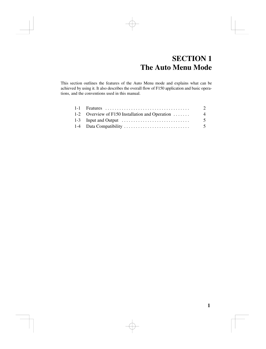# **SECTION 1 The Auto Menu Mode**

This section outlines the features of the Auto Menu mode and explains what can be achieved by using it. It also describes the overall flow of F150 application and basic operations, and the conventions used in this manual.

|                                                                              | $\mathfrak{D}$ |
|------------------------------------------------------------------------------|----------------|
| 1-2 Overview of F150 Installation and Operation                              | -4             |
| 1-3 Input and Output $\dots \dots \dots \dots \dots \dots \dots \dots \dots$ | .5             |
|                                                                              | .5             |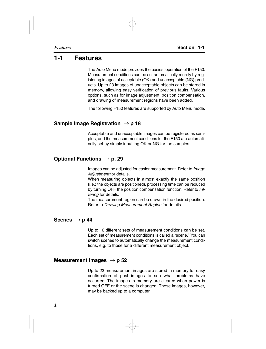# **1-1 Features**

The Auto Menu mode provides the easiest operation of the F150. Measurement conditions can be set automatically merely by registering images of acceptable (OK) and unacceptable (NG) products. Up to 23 images of unacceptable objects can be stored in memory, allowing easy verification of previous faults. Various options, such as for image adjustment, position compensation, and drawing of measurement regions have been added.

The following F150 features are supported by Auto Menu mode.

#### **Sample Image Registration** → **p 18**

Acceptable and unacceptable images can be registered as samples, and the measurement conditions for the F150 are automatically set by simply inputting OK or NG for the samples.

#### **Optional Functions** → **p. 29**

Images can be adjusted for easier measurement. Refer to *Image Adjustment* for details.

When measuring objects in almost exactly the same position (i.e.: the objects are positioned), processing time can be reduced by turning OFF the position compensation function. Refer to *Filtering* for details.

The measurement region can be drawn in the desired position. Refer to *Drawing Measurement Region* for details.

#### Scenes  $\rightarrow$  p 44

Up to 16 different sets of measurement conditions can be set. Each set of measurement conditions is called a "scene." You can switch scenes to automatically change the measurement conditions, e.g. to those for a different measurement object.

#### **Measurement Images** → **p 52**

Up to 23 measurement images are stored in memory for easy confirmation of past images to see what problems have occurred. The images in memory are cleared when power is turned OFF or the scene is changed. These images, however, may be backed up to a computer.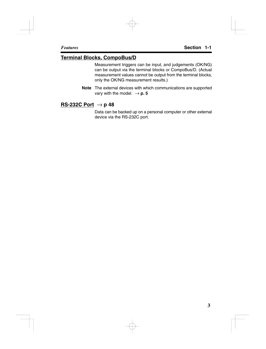#### **Terminal Blocks, CompoBus/D**

Measurement triggers can be input, and judgements (OK/NG) can be output via the terminal blocks or CompoBus/D. (Actual measurement values cannot be output from the terminal blocks, only the OK/NG measurement results.)

**Note** The external devices with which communications are supported vary with the model.  $\rightarrow$  **p. 5** 

#### **RS-232C Port** → **p 48**

Data can be backed up on a personal computer or other external device via the RS-232C port.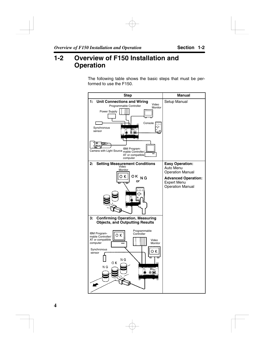# **1-2 Overview of F150 Installation and Operation**

The following table shows the basic steps that must be performed to use the F150.

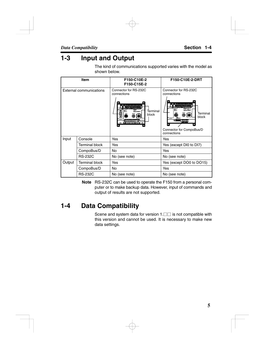# **1-3 Input and Output**

The kind of communications supported varies with the model as shown below.

|        | <b>Item</b>             | F150-C10E-2<br>F150-C15E-2                                                                                                     | F150-C10E-2-DRT                                                                                                                               |
|--------|-------------------------|--------------------------------------------------------------------------------------------------------------------------------|-----------------------------------------------------------------------------------------------------------------------------------------------|
|        | External communications | Connector for RS-232C<br>connections<br>i processoren.<br>Bi besoerede<br>Terminal<br>block<br>◉<br>Ю<br>Ιō<br><b>Readings</b> | Connector for RS-232C<br>connections<br>a sierpoordoorse.<br>Eilbergebiede<br>証<br>$\frac{1}{2}$<br>Terminal<br>© IOI<br>block<br>21<br>فتتقا |
|        |                         |                                                                                                                                | Connector for CompoBus/D<br>connections                                                                                                       |
| Input  | Console                 | Yes                                                                                                                            | Yes                                                                                                                                           |
|        | Terminal block          | Yes                                                                                                                            | Yes (except DI0 to DI7)                                                                                                                       |
|        | CompoBus/D              | No                                                                                                                             | Yes                                                                                                                                           |
|        | <b>RS-232C</b>          | No (see note)                                                                                                                  | No (see note)                                                                                                                                 |
| Output | <b>Terminal block</b>   | Yes                                                                                                                            | Yes (except DO0 to DO15)                                                                                                                      |
|        | CompoBus/D              | No                                                                                                                             | Yes                                                                                                                                           |
|        | <b>RS-232C</b>          | No (see note)                                                                                                                  | No (see note)                                                                                                                                 |

**Note** RS-232C can be used to operate the F150 from a personal computer or to make backup data. However, input of commands and output of results are not supported.

# **1-4 Data Compatibility**

Scene and system data for version  $1. \Box \Box$  is not compatible with this version and cannot be used. It is necessary to make new data settings.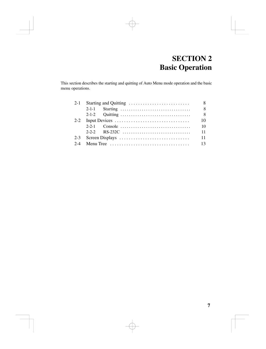# **SECTION 2 Basic Operation**

This section describes the starting and quitting of Auto Menu mode operation and the basic menu operations.

| $2 - 1$ |  | 8  |
|---------|--|----|
|         |  | -8 |
|         |  | -8 |
| $2 - 2$ |  | 10 |
|         |  | 10 |
|         |  | 11 |
| $2 - 3$ |  | 11 |
|         |  | 13 |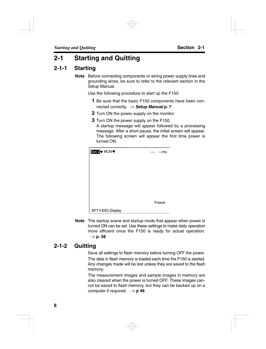# **2-1 Starting and Quitting**

#### **2-1-1 Starting**

**Note** Before connecting components or wiring power supply lines and grounding wires, be sure to refer to the relevant section in the Setup Manual.

Use the following procedure to start up the F150.

- **1** Be sure that the basic F150 components have been connected correctly. → *Setup Manual* **p. 7**
- **2** Turn ON the power supply on the monitor.
- **3** Turn ON the power supply on the F150. A startup message will appear followed by a processing message. After a short pause, the initial screen will appear. The following screen will appear the first time power is turned ON.

| Scn 0 MON       | ---- | ---ms  |
|-----------------|------|--------|
|                 |      |        |
|                 |      |        |
|                 |      |        |
|                 |      |        |
|                 |      |        |
|                 |      | Freeze |
| SFT+ESC:Display |      |        |

**Note** The startup scene and startup mode that appear when power is turned ON can be set. Use these settings to make daily operation more efficient once the F150 is ready for actual operation.  $\rightarrow$  p. 58

#### **2-1-2 Quitting**

Save all settings to flash memory before turning OFF the power. The data in flash memory is loaded each time the F150 is started. Any changes made will be lost unless they are saved to the flash memory.

The measurement images and sample images in memory are also cleared when the power is turned OFF. These images cannot be saved to flash memory, but they can be backed up on a computer if required.  $\rightarrow$  **p 48**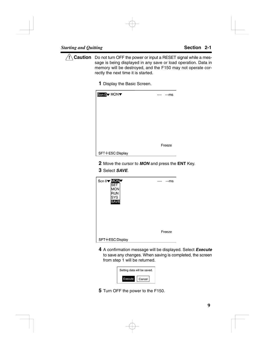**! Caution** Do not turn OFF the power or input a RESET signal while a message is being displayed in any save or load operation. Data in memory will be destroyed, and the F150 may not operate correctly the next time it is started.

**1** Display the Basic Screen.



- **2** Move the cursor to *MON* and press the **ENT** Key.
- **3** Select *SAVE*.



**4** A confirmation message will be displayed. Select *Execute* to save any changes. When saving is completed, the screen from step 1 will be returned.

| Setting data will be saved. |        |
|-----------------------------|--------|
| <i>s</i> ecute              | Cancel |

**5** Turn OFF the power to the F150.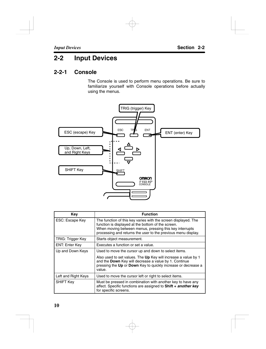# **2-2 Input Devices**

#### **2-2-1 Console**

The Console is used to perform menu operations. Be sure to familiarize yourself with Console operations before actually using the menus.



| Key                    | <b>Function</b>                                                                                                                                                                                                                                  |
|------------------------|--------------------------------------------------------------------------------------------------------------------------------------------------------------------------------------------------------------------------------------------------|
| <b>ESC: Escape Key</b> | The function of this key varies with the screen displayed. The<br>function is displayed at the bottom of the screen.<br>When moving between menus, pressing this key interrupts<br>processing and returns the user to the previous menu display. |
| TRIG: Trigger Key      | Starts object measurement.                                                                                                                                                                                                                       |
| <b>ENT: Enter Key</b>  | Executes a function or set a value.                                                                                                                                                                                                              |
| Up and Down Keys       | Used to move the cursor up and down to select items.                                                                                                                                                                                             |
|                        | Also used to set values. The Up Key will increase a value by 1<br>and the Down Key will decrease a value by 1. Continue<br>pressing the Up or Down Key to quickly increase or decrease a<br>value.                                               |
| Left and Right Keys    | Used to move the cursor left or right to select items.                                                                                                                                                                                           |
| <b>SHIFT Key</b>       | Must be pressed in combination with another key to have any<br>affect. Specific functions are assigned to Shift + another key<br>for specific screens.                                                                                           |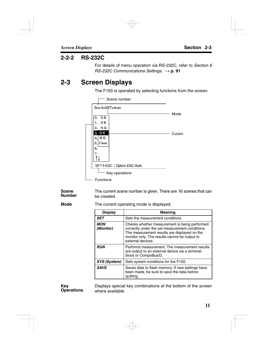#### **2-2-2 RS-232C**

For details of menu operation via RS-232C, refer to *Section 6 RS-232C Communications Settings.* → **p. 91** 

# **2-3 Screen Displays**

The F150 is operated by selecting functions from the screen.



The current scene number is given. There are 16 scenes that can be created. **Scene Number**

**Mode**

The current operating mode is displayed.

| <b>Display</b>          | <b>Meaning</b>                                                                                                                                                                                                         |
|-------------------------|------------------------------------------------------------------------------------------------------------------------------------------------------------------------------------------------------------------------|
| <b>SET</b>              | Sets the measurement conditions.                                                                                                                                                                                       |
| <b>MON</b><br>(Monitor) | Checks whether measurement is being performed<br>correctly under the set measurement conditions.<br>The measurement results are displayed on the<br>monitor only. The results cannot be output to<br>external devices. |
| <b>RUN</b>              | Performs measurement. The measurement results<br>are output to an external device via a terminal<br>block or CompoBus/D.                                                                                               |
| SYS (System)            | Sets system conditions for the F150.                                                                                                                                                                                   |
| <b>SAVE</b>             | Saves data to flash memory. If new settings have<br>been made, be sure to save the data before<br>quitting.                                                                                                            |

**Key Operations**

Displays special key combinations at the bottom of the screen where available.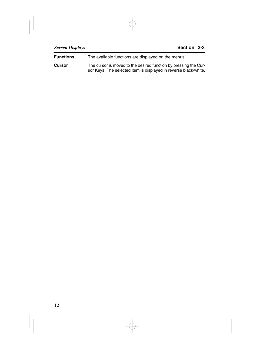The available functions are displayed on the menus. **Functions**

The cursor is moved to the desired function by pressing the Cursor Keys. The selected item is displayed in reverse black/white. **Cursor**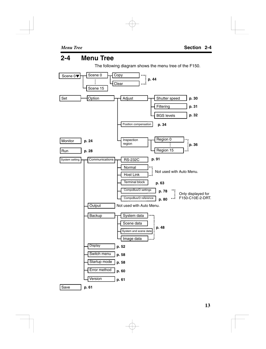# **2-4 Menu Tree**

The following diagram shows the menu tree of the F150.

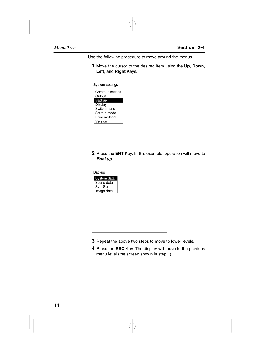Use the following procedure to move around the menus.

**1** Move the cursor to the desired item using the **Up**, **Down**, **Left**, and **Right** Keys.

| System settings  |  |
|------------------|--|
| Communications   |  |
| Output<br>Backup |  |
| Display          |  |
| Switch menu      |  |
| Startup mode     |  |
| Error method     |  |
| Version          |  |

**2** Press the **ENT** Key. In this example, operation will move to *Backup*.



- **3** Repeat the above two steps to move to lower levels.
- **4** Press the **ESC** Key. The display will move to the previous menu level (the screen shown in step 1).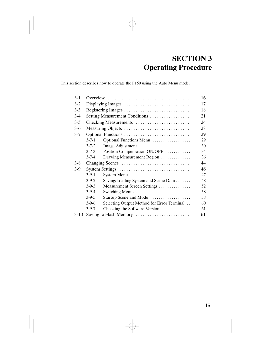# **SECTION 3 Operating Procedure**

This section describes how to operate the F150 using the Auto Menu mode.

| $3 - 1$ |                                |                                            | 16 |
|---------|--------------------------------|--------------------------------------------|----|
| $3-2$   | Displaying Images              |                                            |    |
| $3-3$   |                                |                                            | 18 |
| $3-4$   | Setting Measurement Conditions |                                            | 21 |
| $3 - 5$ | Checking Measurements          |                                            | 24 |
| $3-6$   | Measuring Objects<br>28        |                                            |    |
| $3 - 7$ | Optional Functions             |                                            | 29 |
|         | $3 - 7 - 1$                    | Optional Functions Menu                    | 29 |
|         | $3 - 7 - 2$                    | Image Adjustment                           | 30 |
|         | $3 - 7 - 3$                    | Position Compensation ON/OFF               | 34 |
|         | $3 - 7 - 4$                    | Drawing Measurement Region                 | 36 |
| $3 - 8$ | Changing Scenes                |                                            | 44 |
| $3-9$   | System Settings                |                                            | 46 |
|         | $3-9-1$                        |                                            | 47 |
|         | $3-9-2$                        | Saving/Loading System and Scene Data       | 48 |
|         | $3-9-3$                        | Measurement Screen Settings                | 52 |
|         | $3-9-4$                        | Switching Menus                            | 58 |
|         | $3-9-5$                        | Startup Scene and Mode                     | 58 |
|         | $3-9-6$                        | Selecting Output Method for Error Terminal | 60 |
|         | $3-9-7$                        | Checking the Software Version              | 61 |
| 3-10    | Saving to Flash Memory         |                                            | 61 |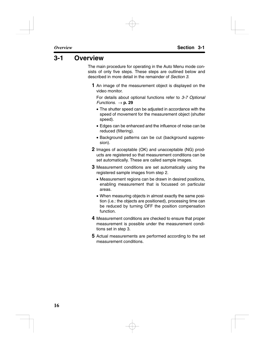# **3-1 Overview**

The main procedure for operating in the Auto Menu mode consists of only five steps. These steps are outlined below and described in more detail in the remainder of *Section 3*.

**1** An image of the measurement object is displayed on the video monitor.

For details about optional functions refer to *3-7 Optional Functions.*  $\rightarrow$  **p. 29** 

- The shutter speed can be adjusted in accordance with the speed of movement for the measurement object (shutter speed).
- Edges can be enhanced and the influence of noise can be reduced (filtering).
- Background patterns can be cut (background suppression).
- **2** Images of acceptable (OK) and unacceptable (NG) products are registered so that measurement conditions can be set automatically. These are called sample images.
- **3** Measurement conditions are set automatically using the registered sample images from step 2.
	- Measurement regions can be drawn in desired positions, enabling measurement that is focussed on particular areas.
	- When measuring objects in almost exactly the same position (i.e.: the objects are positioned), processing time can be reduced by turning OFF the position compensation function.
- **4** Measurement conditions are checked to ensure that proper measurement is possible under the measurement conditions set in step 3.
- **5** Actual measurements are performed according to the set measurement conditions.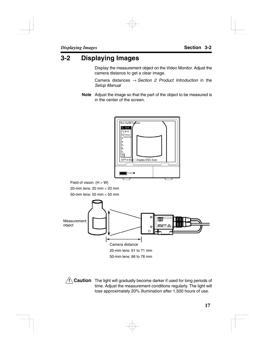# **3-2 Displaying Images**

Display the measurement object on the Video Monitor. Adjust the camera distance to get a clear image.

Camera distances → *Section 2 Product Introduction* in the *Setup Manual*

**Note** Adjust the image so that the part of the object to be measured is in the center of the screen.



Field of vision:  $(H \times W)$ 20-mm lens:  $20 \text{ mm} \times 20 \text{ mm}$ 50-mm lens: 50 mm  $\times$  50 mm



**! Caution** The light will gradually become darker if used for long periods of time. Adjust the measurement conditions regularly. The light will lose approximately 20% illumination after 1,500 hours of use.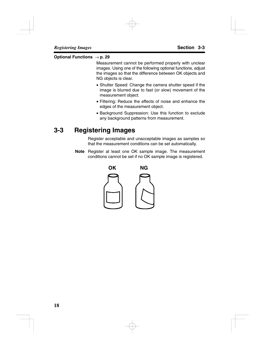#### **Optional Functions** → **p. 29**

Measurement cannot be performed properly with unclear images. Using one of the following optional functions, adjust the images so that the difference between OK objects and NG objects is clear.

- Shutter Speed: Change the camera shutter speed if the image is blurred due to fast (or slow) movement of the measurement object.
- Filtering: Reduce the effects of noise and enhance the edges of the measurement object.
- Background Suppression: Use this function to exclude any background patterns from measurement.

# **3-3 Registering Images**

Register acceptable and unacceptable images as samples so that the measurement conditions can be set automatically.

**Note** Register at least one OK sample image. The measurement conditions cannot be set if no OK sample image is registered.

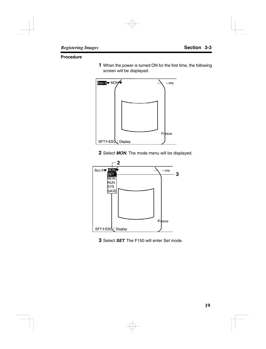#### **Procedure**

 When the power is turned ON for the first time, the following screen will be displayed.



Select *MON*. The mode menu will be displayed.



Select *SET*. The F150 will enter Set mode.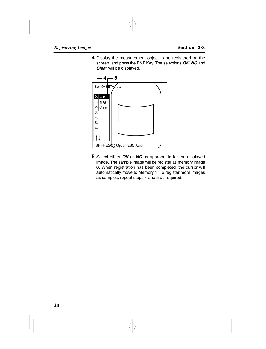**4** Display the measurement object to be registered on the screen, and press the **ENT** Key. The selections *OK*, *NG* and *Clear* will be displayed.



**5** Select either *OK* or *NG* as appropriate for the displayed image. The sample image will be register as memory image 0. When registration has been completed, the cursor will automatically move to Memory 1. To register more images as samples, repeat steps 4 and 5 as required.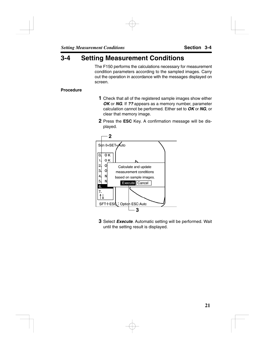# **3-4 Setting Measurement Conditions**

The F150 performs the calculations necessary for measurement condition parameters according to the sampled images. Carry out the operation in accordance with the messages displayed on screen.

#### **Procedure**

- **1** Check that all of the registered sample images show either *OK* or *NG*. If *??* appears as a memory number, parameter calculation cannot be performed. Either set to *OK* or *NG*, or clear that memory image.
- **2** Press the **ESC** Key. A confirmation message will be displayed.



**3** Select *Execute*. Automatic setting will be performed. Wait until the setting result is displayed.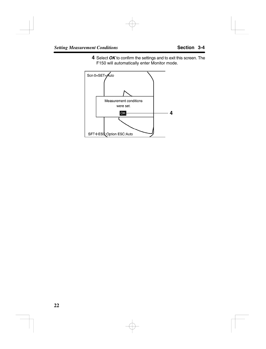**4** Select *OK* to confirm the settings and to exit this screen. The F150 will automatically enter Monitor mode.

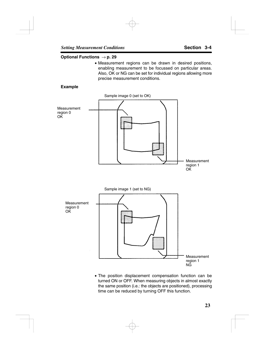#### **Optional Functions** → **p. 29**

• Measurement regions can be drawn in desired positions, enabling measurement to be focussed on particular areas. Also, OK or NG can be set for individual regions allowing more precise measurement conditions.

#### **Example**



• The position displacement compensation function can be turned ON or OFF. When measuring objects in almost exactly the same position (i.e.: the objects are positioned), processing time can be reduced by turning OFF this function.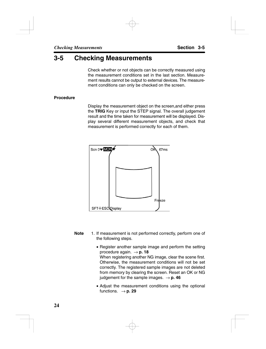# **3-5 Checking Measurements**

Check whether or not objects can be correctly measured using the measurement conditions set in the last section. Measurement results cannot be output to external devices. The measurement conditions can only be checked on the screen.

#### **Procedure**

Display the measurement object on the screen,and either press the **TRIG** Key or input the STEP signal. The overall judgement result and the time taken for measurement will be displayed. Display several different measurement objects, and check that measurement is performed correctly for each of them.



- **Note** 1. If measurement is not performed correctly, perform one of the following steps.
	- Register another sample image and perform the setting procedure again.  $\rightarrow$  **p. 18** When registering another NG image, clear the scene first. Otherwise, the measurement conditions will not be set correctly. The registered sample images are not deleted from memory by clearing the screen. Reset an OK or NG judgement for the sample images.  $\rightarrow$  **p. 46**
	- Adjust the measurement conditions using the optional functions.  $\rightarrow$  **p. 29**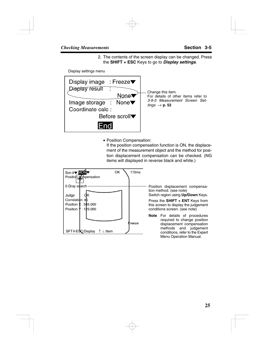2. The contents of the screen display can be changed. Press the **SHIFT + ESC** Keys to go to *Display settings*.

Display settings menu



• Position Compensation:

If the position compensation function is ON, the displacement of the measurement object and the method for position displacement compensation can be checked. (NG items will displayed in reverse black and white.)

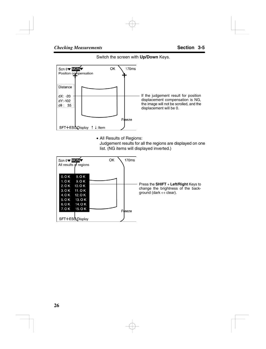



• All Results of Regions:

Judgement results for all the regions are displayed on one list. (NG items will displayed inverted.)

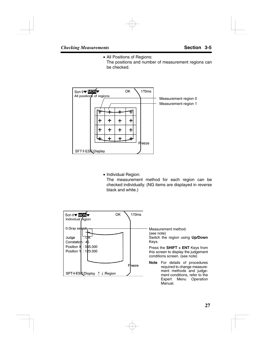• All Positions of Regions:

The positions and number of measurement regions can be checked.



• Individual Region:

The measurement method for each region can be checked individually. (NG items are displayed in reverse black and white.)

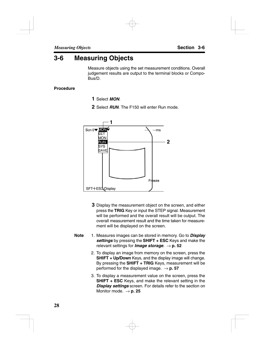# **3-6 Measuring Objects**

Measure objects using the set measurement conditions. Overall judgement results are output to the terminal blocks or Compo-Bus/D.

#### **Procedure**

- **1** Select *MON*.
- **2** Select *RUN*. The F150 will enter Run mode.



- **3** Display the measurement object on the screen, and either press the **TRIG** Key or input the STEP signal. Measurement will be performed and the overall result will be output. The overall measurement result and the time taken for measurement will be displayed on the screen.
- **Note** 1. Measures images can be stored in memory. Go to *Display settings* by pressing the **SHIFT + ESC** Keys and make the relevant settings for *Image storage*. → **p. 52**
	- 2. To display an image from memory on the screen, press the **SHIFT + Up/Down** Keys, and the display image will change. By pressing the **SHIFT + TRIG** Keys, measurement will be performed for the displayed image.  $\rightarrow$  **p. 57**
	- 3. To display a measurement value on the screen, press the **SHIFT + ESC** Keys, and make the relevant setting in the *Display settings* screen. For details refer to the section on Monitor mode. → **p. 25**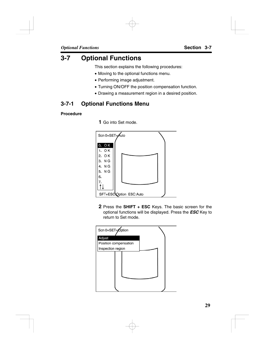# **3-7 Optional Functions**

This section explains the following procedures:

- Moving to the optional functions menu.
- Performing image adjustment.
- Turning ON/OFF the position compensation function.
- Drawing a measurement region in a desired position.

#### **3-7-1 Optional Functions Menu**

#### **Procedure**

**1** Go into Set mode.



**2** Press the **SHIFT + ESC** Keys. The basic screen for the optional functions will be displayed. Press the *ESC* Key to return to Set mode.

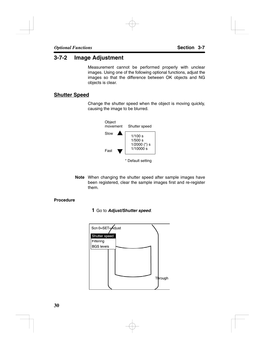### **3-7-2 Image Adjustment**

Measurement cannot be performed properly with unclear images. Using one of the following optional functions, adjust the images so that the difference between OK objects and NG objects is clear.

### **Shutter Speed**

Change the shutter speed when the object is moving quickly, causing the image to be blurred.



**Note** When changing the shutter speed after sample images have been registered, clear the sample images first and re-register them.

### **Procedure**

**1** Go to *Adjust/Shutter speed*.

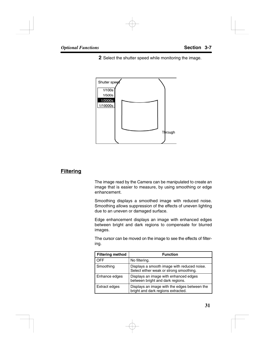**2** Select the shutter speed while monitoring the image.



### **Filtering**

The image read by the Camera can be manipulated to create an image that is easier to measure, by using smoothing or edge enhancement.

Smoothing displays a smoothed image with reduced noise. Smoothing allows suppression of the effects of uneven lighting due to an uneven or damaged surface.

Edge enhancement displays an image with enhanced edges between bright and dark regions to compensate for blurred images.

The cursor can be moved on the image to see the effects of filtering.

| <b>Filtering method</b> | <b>Function</b>                                                                        |
|-------------------------|----------------------------------------------------------------------------------------|
| OFF                     | No filtering.                                                                          |
| Smoothing               | Displays a smooth image with reduced noise.<br>Select either weak or strong smoothing. |
| Enhance edges           | Displays an image with enhanced edges<br>between bright and dark regions.              |
| <b>Extract edges</b>    | Displays an image with the edges between the<br>bright and dark regions extracted.     |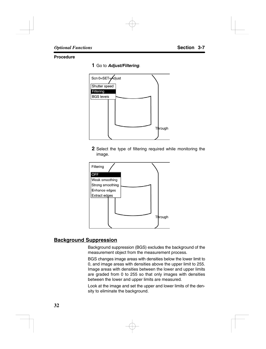### **Procedure**

**1** Go to *Adjust/Filtering*.



**2** Select the type of filtering required while monitoring the image.



### **Background Suppression**

Background suppression (BGS) excludes the background of the measurement object from the measurement process.

BGS changes image areas with densities below the lower limit to 0, and image areas with densities above the upper limit to 255. Image areas with densities between the lower and upper limits are graded from 0 to 255 so that only images with densities between the lower and upper limits are measured.

Look at the image and set the upper and lower limits of the density to eliminate the background.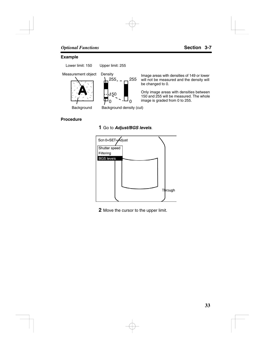#### **Example**

Lower limit: 150 Upper limit: 255





Measurement object Density<br>  $\begin{array}{ccc} \text{Image areas with densities of 149 or lower} \\ \text{Mean area} & \text{Mean area} \\ \end{array}$ will not be measured and the density will be changed to 0.

> Only image areas with densities between 150 and 255 will be measured. The whole image is graded from 0 to 255.

Background Background density (cut)

#### **Procedure**

### **1** Go to *Adjust/BGS levels*.



**2** Move the cursor to the upper limit.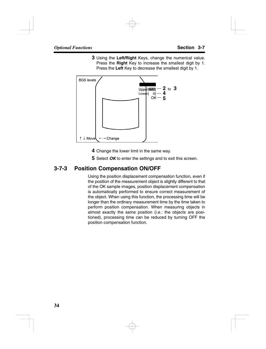**3** Using the **Left/Right** Keys, change the numerical value. Press the **Right** Key to increase the smallest digit by 1. Press the **Left** Key to decrease the smallest digit by 1.



- **4** Change the lower limit in the same way.
- **5** Select *OK* to enter the settings and to exit this screen.

### **3-7-3 Position Compensation ON/OFF**

Using the position displacement compensation function, even if the position of the measurement object is slightly different to that of the OK sample images, position displacement compensation is automatically performed to ensure correct measurement of the object. When using this function, the processing time will be longer than the ordinary measurement time by the time taken to perform position compensation. When measuring objects in almost exactly the same position (i.e.: the objects are positioned), processing time can be reduced by turning OFF the position compensation function.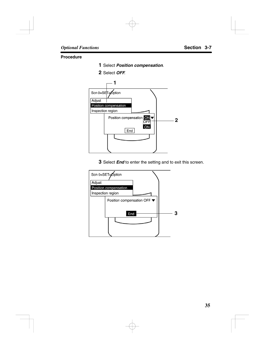#### **Procedure**

- Select *Position compensation*.
- Select *OFF*.



Select *End* to enter the setting and to exit this screen.

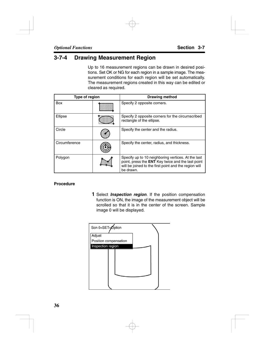### **3-7-4 Drawing Measurement Region**

Up to 16 measurement regions can be drawn in desired positions. Set OK or NG for each region in a sample image. The measurement conditions for each region will be set automatically. The measurement regions created in this way can be edited or cleared as required.

| Type of region |  | <b>Drawing method</b>                                                                                                                                                                |
|----------------|--|--------------------------------------------------------------------------------------------------------------------------------------------------------------------------------------|
| Box            |  | Specify 2 opposite corners.                                                                                                                                                          |
| Ellipse        |  | Specify 2 opposite corners for the circumscribed<br>rectangle of the ellipse.                                                                                                        |
| Circle         |  | Specify the center and the radius.                                                                                                                                                   |
| Circumference  |  | Specify the center, radius, and thickness.                                                                                                                                           |
| Polygon        |  | Specify up to 10 neighboring vertices. At the last<br>point, press the <b>ENT</b> Key twice and the last point<br>will be joined to the first point and the region will<br>be drawn. |

### **Procedure**

**1** Select *Inspection region*. If the position compensation function is ON, the image of the measurement object will be scrolled so that it is in the center of the screen. Sample image 0 will be displayed.

| Scn 0=SET=Option      |  |
|-----------------------|--|
| Adjust                |  |
| Position compensation |  |
| Inspection region     |  |
|                       |  |
|                       |  |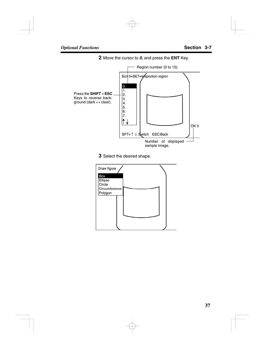**2** Move the cursor to *0*, and press the **ENT** Key.



**3** Select the desired shape.

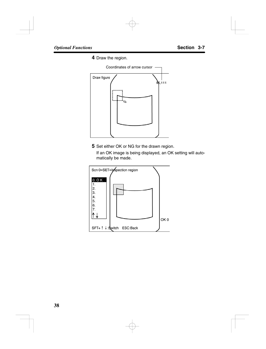**4** Draw the region.



**5** Set either OK or NG for the drawn region.

If an OK image is being displayed, an OK setting will automatically be made.

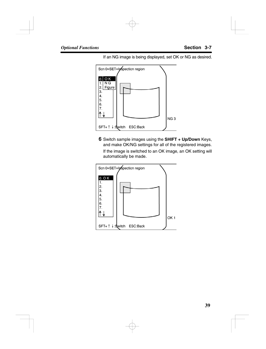If an NG image is being displayed, set OK or NG as desired.



**6** Switch sample images using the **SHIFT + Up/Down** Keys, and make OK/NG settings for all of the registered images. If the image is switched to an OK image, an OK setting will automatically be made.

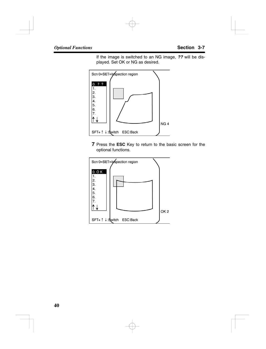If the image is switched to an NG image, *??* will be displayed. Set OK or NG as desired.



**7** Press the **ESC** Key to return to the basic screen for the optional functions.

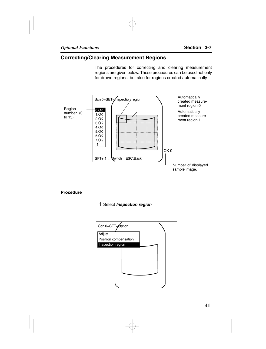### **Correcting/Clearing Measurement Regions**

The procedures for correcting and clearing measurement regions are given below. These procedures can be used not only for drawn regions, but also for regions created automatically.



#### **Procedure**

### **1** Select *Inspection region*.

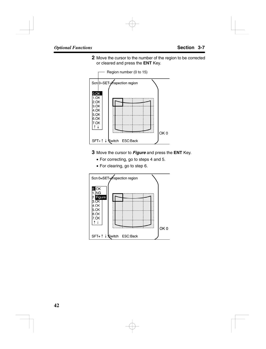**2** Move the cursor to the number of the region to be corrected or cleared and press the **ENT** Key.



- **3** Move the cursor to *Figure* and press the **ENT** Key.
	- For correcting, go to steps 4 and 5.
	- For clearing, go to step 6.

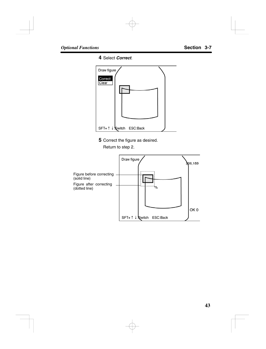**4** Select *Correct*.



**5** Correct the figure as desired.

Return to step 2.

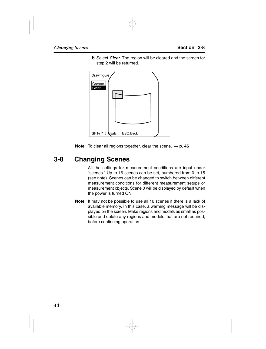**6** Select *Clear*. The region will be cleared and the screen for step 2 will be returned.



**Note** To clear all regions together, clear the scene.  $\rightarrow$  **p.** 46

# **3-8 Changing Scenes**

All the settings for measurement conditions are input under "scenes." Up to 16 scenes can be set, numbered from 0 to 15 (see note). Scenes can be changed to switch between different measurement conditions for different measurement setups or measurement objects. Scene 0 will be displayed by default when the power is turned ON.

**Note** It may not be possible to use all 16 scenes if there is a lack of available memory. In this case, a warning message will be displayed on the screen. Make regions and models as small as possible and delete any regions and models that are not required, before continuing operation.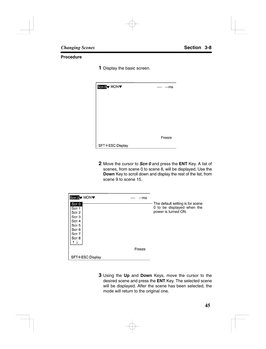#### **Procedure**

**1** Display the basic screen.

| Scn 0 MON       | ---- | ---ms  |
|-----------------|------|--------|
|                 |      |        |
|                 |      |        |
|                 |      |        |
|                 |      |        |
|                 |      |        |
|                 |      | Freeze |
| SFT+ESC:Display |      |        |

**2** Move the cursor to *Scn 0* and press the **ENT** Key. A list of scenes, from scene 0 to scene 8, will be displayed. Use the **Down** Key to scroll down and display the rest of the list, from scene 9 to scene 15.

| Scn 0 V MON V                                                                            | ---- | ---ms  |                                                                                       |
|------------------------------------------------------------------------------------------|------|--------|---------------------------------------------------------------------------------------|
| Scn 0<br>Scn 1<br>Scn 2<br>Scn <sub>3</sub><br>Scn 4<br>Scn 5<br>Scn 6<br>Scn 7<br>Scn 8 |      |        | The default setting is for scene<br>0 to be displayed when the<br>power is turned ON. |
|                                                                                          |      | Freeze |                                                                                       |
| SFT+ESC:Display                                                                          |      |        |                                                                                       |

**3** Using the **Up** and **Down** Keys, move the cursor to the desired scene and press the **ENT** Key. The selected scene will be displayed. After the scene has been selected, the mode will return to the original one.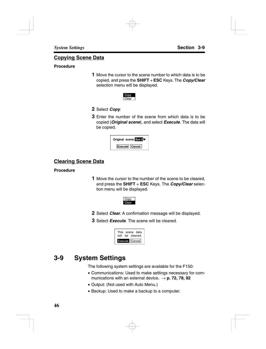### **Copying Scene Data**

### **Procedure**

**1** Move the cursor to the scene number to which data is to be copied, and press the **SHIFT** + **ESC** Keys. The *Copy/Clear* selection menu will be displayed.



- **2** Select *Copy*.
- **3** Enter the number of the scene from which data is to be copied (*Original scene*), and select *Execute*. The data will be copied.



### **Clearing Scene Data**

### **Procedure**

**1** Move the cursor to the number of the scene to be cleared, and press the **SHIFT** + **ESC** Keys. The *Copy/Clear* selection menu will be displayed.



- **2** Select *Clear*. A confirmation message will be displayed.
- **3** Select *Execute*. The scene will be cleared.



# **3-9 System Settings**

The following system settings are available for the F150:

- Communications: Used to make settings necessary for communications with an external device.  $\rightarrow$  **p. 72, 78, 92**
- Output: (Not used with Auto Menu.)
- Backup: Used to make a backup to a computer.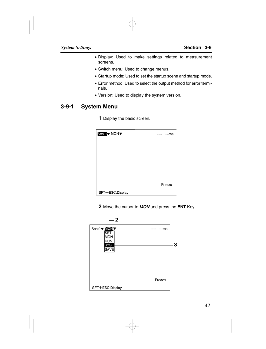- Display: Used to make settings related to measurement screens.
- Switch menu: Used to change menus.
- Startup mode: Used to set the startup scene and startup mode.
- Error method: Used to select the output method for error terminals.
- Version: Used to display the system version.

### **3-9-1 System Menu**

**1** Display the basic screen.

| Scn 0 V MON     | ---ms<br>---- |
|-----------------|---------------|
|                 |               |
|                 |               |
|                 |               |
|                 |               |
|                 |               |
|                 | Freeze        |
| SFT+ESC:Display |               |

**2** Move the cursor to *MON* and press the **ENT** Key.

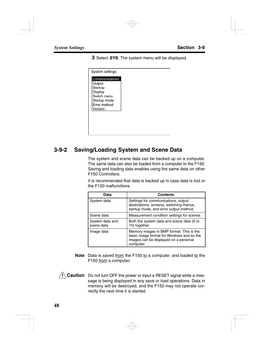**3** Select *SYS*. The system menu will be displayed.

### **3-9-2 Saving/Loading System and Scene Data**

The system and scene data can be backed up on a computer. The same data can also be loaded from a computer to the F150. Saving and loading data enables using the same data on other F150 Controllers.

It is recommended that data is backed up in case data is lost or the F150 malfunctions.

| Data                          | <b>Contents</b>                                                                                                                             |
|-------------------------------|---------------------------------------------------------------------------------------------------------------------------------------------|
| System data                   | Settings for communications, output<br>destinations, screens, switching menus,<br>startup mode, and error output method.                    |
| Scene data                    | Measurement condition settings for scenes.                                                                                                  |
| System data and<br>scene data | Both the system data and scene data (0 to<br>15) together.                                                                                  |
| Image data                    | Memory images in BMP format. This is the<br>basic image format for Windows and so the<br>images can be displayed on a personal<br>computer. |

- **Note** Data is saved from the F150 to a computer, and loaded to the F150 from a computer.
- **! Caution** Do not turn OFF the power or input a RESET signal while a message is being displayed in any save or load operations. Data in memory will be destroyed, and the F150 may not operate correctly the next time it is started.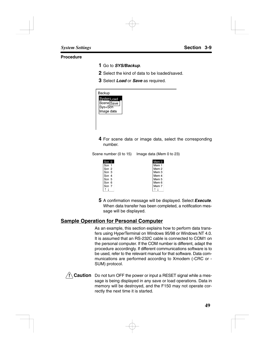#### **Procedure**

- **1** Go to *SYS/Backup*.
- **2** Select the kind of data to be loaded/saved.
- **3** Select *Load* or *Save* as required.

| Backup                              |  |  |
|-------------------------------------|--|--|
| Systen <sub>Load</sub>              |  |  |
| Scene Save<br>Sys+Scn<br>Image data |  |  |
|                                     |  |  |
|                                     |  |  |
|                                     |  |  |
|                                     |  |  |

**4** For scene data or image data, select the corresponding number.

Scene number (0 to 15) Image data (Mem 0 to 23)

| Scn 0 |  | Mem 0            |
|-------|--|------------------|
| Scn   |  | Mem 1            |
| Scn 2 |  | Mem <sub>2</sub> |
| Scn 3 |  | Mem 3            |
| Scn 4 |  | Mem 4            |
| Scn 5 |  | Mem 5            |
| Scn 6 |  | Mem 6            |
| Scn 7 |  | Mem 7            |
|       |  |                  |

**5** A confirmation message will be displayed. Select *Execute*. When data transfer has been completed, a notification message will be displayed.

### **Sample Operation for Personal Computer**

As an example, this section explains how to perform data transfers using HyperTerminal on Windows 95/98 or Windows NT 4.0. It is assumed that an RS-232C cable is connected to COM1 on the personal computer. If the COM number is different, adapt the procedure accordingly. If different communications software is to be used, refer to the relevant manual for that software. Data communications are performed according to Xmodem (-CRC or - SUM) protocol.

**! Caution** Do not turn OFF the power or input a RESET signal while a message is being displayed in any save or load operations. Data in memory will be destroyed, and the F150 may not operate correctly the next time it is started.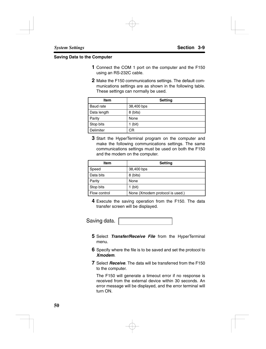#### **Saving Data to the Computer**

- **1** Connect the COM 1 port on the computer and the F150 using an RS-232C cable.
- **2** Make the F150 communications settings. The default communications settings are as shown in the following table. These settings can normally be used.

| <b>Item</b> | Setting    |
|-------------|------------|
| Baud rate   | 38,400 bps |
| Data length | 8 (bits)   |
| Parity      | None       |
| Stop bits   | (bit)      |
| Delimiter   | СR         |

**3** Start the HyperTerminal program on the computer and make the following communications settings. The same communications settings must be used on both the F150 and the modem on the computer.

| Item         | <b>Setting</b>                  |
|--------------|---------------------------------|
| Speed        | 38,400 bps                      |
| Data bits    | 8 (bits)                        |
| Parity       | None                            |
| Stop bits    | (bit)                           |
| Flow control | None (Xmodem protocol is used.) |

**4** Execute the saving operation from the F150. The data transfer screen will be displayed.

Saving data.

- **5** Select *Transfer/Receive File* from the HyperTerminal menu.
- **6** Specify where the file is to be saved and set the protocol to *Xmodem*.
- **7** Select *Receive*. The data will be transferred from the F150 to the computer.

The F150 will generate a timeout error if no response is received from the external device within 30 seconds. An error message will be displayed, and the error terminal will turn ON.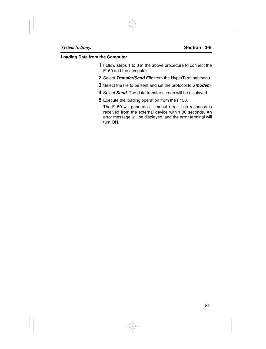#### **Loading Data from the Computer**

- **1** Follow steps 1 to 3 in the above procedure to connect the F150 and the computer.
- **2** Select *Transfer/Send File* from the HyperTerminal menu.
- **3** Select the file to be sent and set the protocol to *Xmodem*.
- **4** Select *Send*. The data transfer screen will be displayed.
- **5** Execute the loading operation from the F150.

The F150 will generate a timeout error if no response is received from the external device within 30 seconds. An error message will be displayed, and the error terminal will turn ON.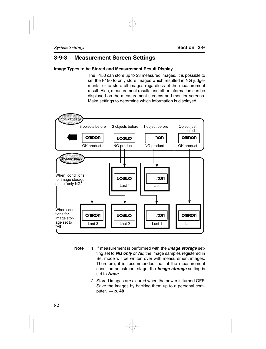### **3-9-3 Measurement Screen Settings**

### **Image Types to be Stored and Measurement Result Display**

The F150 can store up to 23 measured images. It is possible to set the F150 to only store images which resulted in NG judgements, or to store all images regardless of the measurement result. Also, measurement results and other information can be displayed on the measurement screens and monitor screens. Make settings to determine which information is displayed.



- **Note** 1. If measurement is performed with the *Image storage* setting set to *NG only* or *All*, the image samples registered in Set mode will be written over with measurement images. Therefore, it is recommended that at the measurement condition adjustment stage, the *Image storage* setting is set to *None*.
	- 2. Stored images are cleared when the power is turned OFF. Save the images by backing them up to a personal computer.  $\rightarrow$  **p. 48**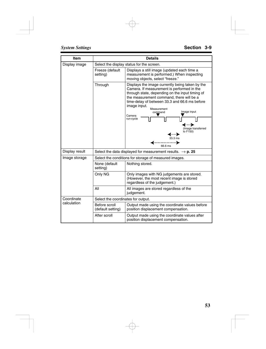| Item           | <b>Details</b>                     |                                                                                                                                                                                                                                                                                                                               |  |  |  |  |
|----------------|------------------------------------|-------------------------------------------------------------------------------------------------------------------------------------------------------------------------------------------------------------------------------------------------------------------------------------------------------------------------------|--|--|--|--|
| Display image  |                                    | Select the display status for the screen.                                                                                                                                                                                                                                                                                     |  |  |  |  |
|                | Freeze (default<br>setting)        | Displays a still image (updated each time a<br>measurement is performed.) When inspecting<br>moving objects, select "freeze."                                                                                                                                                                                                 |  |  |  |  |
|                | Through                            | Displays the image currently being taken by the<br>Camera. If measurement is performed in the<br>through state, depending on the input timing of<br>the measurement command, there will be a<br>time-delay of between 33.3 and 66.6 ms before<br>image input.<br>Measurement<br>Image input<br>command<br>Camera<br>run-cycle |  |  |  |  |
|                |                                    | (…≽<br>(Image transferred<br>to F150)<br>◢⋯▶<br>33.3 ms<br>66.6 ms                                                                                                                                                                                                                                                            |  |  |  |  |
| Display result |                                    | Select the data displayed for measurement results. $\rightarrow$ p. 25                                                                                                                                                                                                                                                        |  |  |  |  |
| Image storage  |                                    | Select the conditions for storage of measured images.                                                                                                                                                                                                                                                                         |  |  |  |  |
|                | None (default<br>setting)          | Nothing stored.                                                                                                                                                                                                                                                                                                               |  |  |  |  |
|                | Only NG                            | Only images with NG judgements are stored.<br>(However, the most recent image is stored<br>regardless of the judgement.)                                                                                                                                                                                                      |  |  |  |  |
|                | All                                | All images are stored regardless of the<br>judgement.                                                                                                                                                                                                                                                                         |  |  |  |  |
| Coordinate     | Select the coordinates for output. |                                                                                                                                                                                                                                                                                                                               |  |  |  |  |
| calculation    | Before scroll<br>(default setting) | Output made using the coordinate values before<br>position displacement compensation.                                                                                                                                                                                                                                         |  |  |  |  |
|                | After scroll                       | Output made using the coordinate values after<br>position displacement compensation.                                                                                                                                                                                                                                          |  |  |  |  |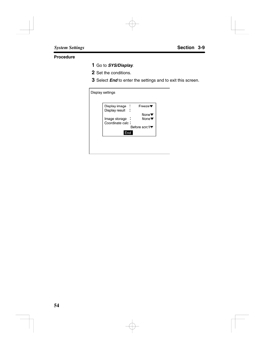### **Procedure**

- **1** Go to *SYS/Display*.
- **2** Set the conditions.
- **3** Select *End* to enter the settings and to exit this screen.

| Display settings                  |                           |
|-----------------------------------|---------------------------|
| Display image :                   | Freeze                    |
| Display result                    | None $\blacktriangledown$ |
| Image storage<br>Coordinate calc: | None▼                     |
| End                               | Before scrc‼▼             |
|                                   |                           |
|                                   |                           |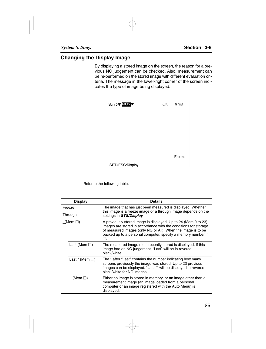### **Changing the Display Image**

By displaying a stored image on the screen, the reason for a previous NG judgement can be checked. Also, measurement can be re-performed on the stored image with different evaluation criteria. The message in the lower-right corner of the screen indicates the type of image being displayed.



Refer to the following table.

| <b>Display</b> |                        | <b>Details</b>                                                                                                                                                                                                                                                    |  |  |  |  |
|----------------|------------------------|-------------------------------------------------------------------------------------------------------------------------------------------------------------------------------------------------------------------------------------------------------------------|--|--|--|--|
| Freeze         |                        | The image that has just been measured is displayed. Whether<br>this image is a freeze image or a through image depends on the                                                                                                                                     |  |  |  |  |
|                | Through                | settings in SYS/Display.                                                                                                                                                                                                                                          |  |  |  |  |
|                |                        | A previously stored image is displayed. Up to 24 (Mem 0 to 23)<br>images are stored in accordance with the conditions for storage<br>of measured images (only NG or All). When the image is to be<br>backed up to a personal computer, specify a memory number in |  |  |  |  |
|                | Last (Mem $\square$ )  | The measured image most recently stored is displayed. If this<br>image had an NG judgement, "Last" will be in reverse<br>black/white.                                                                                                                             |  |  |  |  |
|                | Last $*$ (Mem $\Box$ ) | The * after "Last" contains the number indicating how many<br>screens previously the image was stored. Up to 23 previous<br>images can be displayed. "Last *" will be displayed in reverse<br>black/white for NG images.                                          |  |  |  |  |
|                | (Mem $\square$ )       | Either no image is stored in memory, or an image other than a<br>measurement image (an image loaded from a personal<br>computer or an image registered with the Auto Menu) is<br>displayed.                                                                       |  |  |  |  |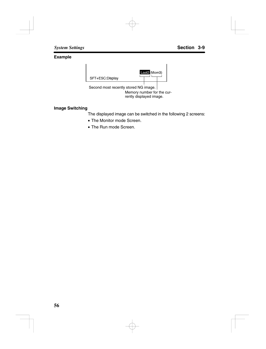### **Example**



### **Image Switching**

The displayed image can be switched in the following 2 screens:

- The Monitor mode Screen.
- The Run mode Screen.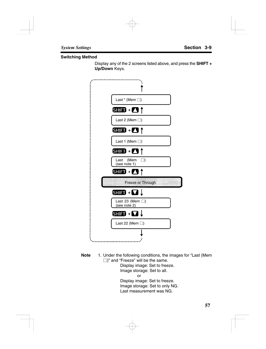#### **Switching Method**

Display any of the 2 screens listed above, and press the **SHIFT + Up/Down** Keys.



**Note** 1. Under the following conditions, the images for "Last (Mem  $\Box$ )" and "Freeze" will be the same. Display image: Set to freeze. Image storage: Set to all. or

Display image: Set to freeze. Image storage: Set to only NG. Last measurement was NG.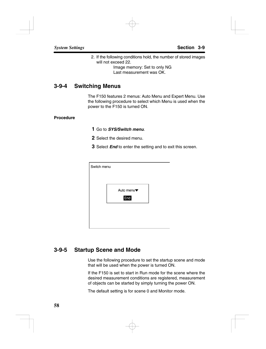2. If the following conditions hold, the number of stored images will not exceed 22.

> Image memory: Set to only NG Last measurement was OK.

### **3-9-4 Switching Menus**

The F150 features 2 menus: Auto Menu and Expert Menu. Use the following procedure to select which Menu is used when the power to the F150 is turned ON.

#### **Procedure**

- **1** Go to *SYS/Switch menu*.
- **2** Select the desired menu.
- **3** Select *End* to enter the setting and to exit this screen.

| Switch menu |            |  |
|-------------|------------|--|
|             |            |  |
|             | Auto menu▼ |  |
|             |            |  |
|             | End        |  |
|             |            |  |
|             |            |  |
|             |            |  |

### **3-9-5 Startup Scene and Mode**

Use the following procedure to set the startup scene and mode that will be used when the power is turned ON.

If the F150 is set to start in Run mode for the scene where the desired measurement conditions are registered, measurement of objects can be started by simply turning the power ON.

The default setting is for scene 0 and Monitor mode.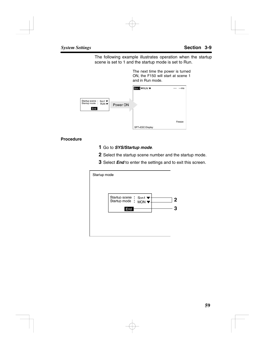The following example illustrates operation when the startup scene is set to 1 and the startup mode is set to Run.

> The next time the power is turned ON, the F150 will start at scene 1 and in Run mode.

|                                                       |          | Sen 1 <b>VRUN</b> V | $-ms$<br>---- |
|-------------------------------------------------------|----------|---------------------|---------------|
| Startup scene : Scn1 ▼<br>Startup mode : RUN ▼<br>End | Power ON |                     |               |
|                                                       |          |                     | Freeze        |
|                                                       |          | SFT+ESC:Display     |               |

#### **Procedure**

- **1** Go to *SYS/Startup mode*.
- **2** Select the startup scene number and the startup mode.
- **3** Select *End* to enter the settings and to exit this screen.

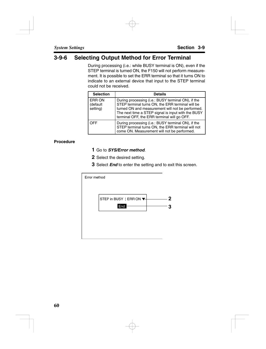### **3-9-6 Selecting Output Method for Error Terminal**

During processing (i.e.: while BUSY terminal is ON), even if the STEP terminal is turned ON, the F150 will not perform measurement. It is possible to set the ERR terminal so that it turns ON to indicate to an external device that input to the STEP terminal could not be received.

| <b>Selection</b>                      | <b>Details</b>                                                                                                                                                                                                                                                  |
|---------------------------------------|-----------------------------------------------------------------------------------------------------------------------------------------------------------------------------------------------------------------------------------------------------------------|
| <b>ERR ON</b><br>(default<br>setting) | During processing (i.e.: BUSY terminal ON), if the<br>STEP terminal turns ON, the ERR terminal will be<br>turned ON and measurement will not be performed.<br>The next time a STEP signal is input with the BUSY<br>terminal OFF, the ERR terminal will go OFF. |
| <b>OFF</b>                            | During processing (i.e.: BUSY terminal ON), if the<br>STEP terminal turns ON, the ERR terminal will not<br>come ON. Measurement will not be performed.                                                                                                          |

### **Procedure**

- **1** Go to *SYS/Error method*.
- **2** Select the desired setting.
- **3** Select *End* to enter the setting and to exit this screen.

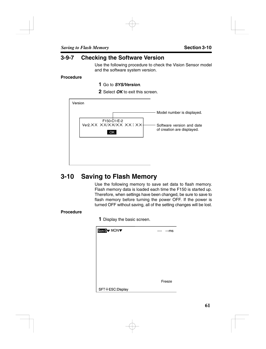### **3-9-7 Checking the Software Version**

Use the following procedure to check the Vision Sensor model and the software system version.

#### **Procedure**

- **1** Go to *SYS/Version*.
- **2** Select *OK* to exit this screen.

| Version                                 |                                                         |
|-----------------------------------------|---------------------------------------------------------|
|                                         | Model number is displayed.                              |
| F150-C1-E-2<br>Ver2.XX XX/XX/XX XX : XX | Software version and date<br>of creation are displayed. |
|                                         |                                                         |
|                                         |                                                         |

# **3-10 Saving to Flash Memory**

Use the following memory to save set data to flash memory. Flash memory data is loaded each time the F150 is started up. Therefore, when settings have been changed, be sure to save to flash memory before turning the power OFF. If the power is turned OFF without saving, all of the setting changes will be lost.

### **Procedure**

**1** Display the basic screen.

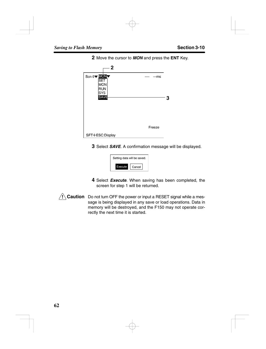**2** Move the cursor to *MON* and press the **ENT** Key.



**3** Select *SAVE*. A confirmation message will be displayed.



- **4** Select *Execute*. When saving has been completed, the screen for step 1 will be returned.
- **! Caution** Do not turn OFF the power or input a RESET signal while a message is being displayed in any save or load operations. Data in memory will be destroyed, and the F150 may not operate correctly the next time it is started.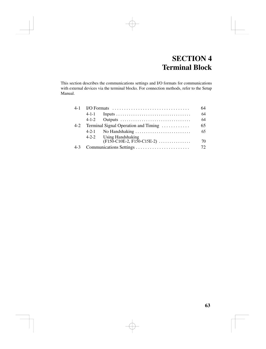# **SECTION 4 Terminal Block**

This section describes the communications settings and I/O formats for communications with external devices via the terminal blocks. For connection methods, refer to the Setup Manual.

| $4-1$ |             | I/O Formats $\dots \dots \dots \dots \dots \dots \dots \dots \dots \dots \dots$ | 64  |
|-------|-------------|---------------------------------------------------------------------------------|-----|
|       | $4 - 1 - 1$ |                                                                                 | 64  |
|       | $4 - 1 - 2$ | Outputs                                                                         | 64  |
| $4-2$ |             | Terminal Signal Operation and Timing                                            | 65  |
|       | $4 - 2 - 1$ | No Handshaking $\ldots \ldots \ldots \ldots \ldots \ldots \ldots$               | 65  |
|       |             | 4-2-2 Using Handshaking                                                         |     |
|       |             | $(F150-C10E-2, F150-C15E-2) \ldots$                                             | 70  |
| $4-3$ |             |                                                                                 | 72. |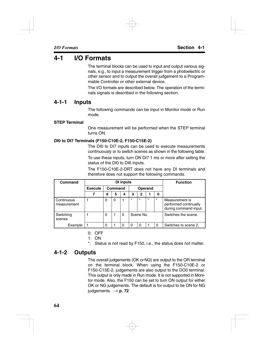## **4-1 I/O Formats**

The terminal blocks can be used to input and output various signals, e.g., to input a measurement trigger from a photoelectric or other sensor and to output the overall judgement to a Programmable Controller or other external device.

The I/O formats are described below. The operation of the terminals signals is described in the following section.

### **4-1-1 Inputs**

The following commands can be input in Monitor mode or Run mode.

### **STEP Terminal**

One measurement will be performed when the STEP terminal turns ON.

### **DI0 to DI7 Terminals (F150-C10E-2, F150-C15E-2)**

The DI0 to DI7 inputs can be used to execute measurements continuously or to switch scenes as shown in the following table.

To use these inputs, turn ON DI7 1 ms or more after setting the status of the DI0 to DI6 inputs.

The F150-C10E-2-DRT does not have any DI terminals and therefore does not support the following commands.

| Command                   | <b>DI</b> inputs |   |                    |   |         |           |         | <b>Function</b> |                                                                  |
|---------------------------|------------------|---|--------------------|---|---------|-----------|---------|-----------------|------------------------------------------------------------------|
|                           | <b>Execute</b>   |   | Command<br>Operand |   |         |           |         |                 |                                                                  |
|                           |                  | 6 | 5                  | 4 | 3       | 2         |         | 0               |                                                                  |
| Continuous<br>measurement |                  | 0 | 0                  |   | $\star$ | $\star$   | $\star$ | $\star$         | Measurement is<br>performed continually<br>during command input. |
| Switching<br>scenes       |                  | 0 |                    | 0 |         | Scene No. |         |                 | Switches the scene.                                              |
| Example                   |                  | ŋ |                    | ი | ŋ       | O         |         | ∩               | Switches to scene 2.                                             |

0: OFF

1: ON

\*: Status is not read by F150, i.e., the status does not matter.

### **4-1-2 Outputs**

The overall judgements (OK or NG) are output to the OR terminal on the terminal block. When using the F150-C10E-2 or F150-C15E-2, judgements are also output to the DO0 terminal. This output is only made in Run mode. It is not supported in Monitor mode. Also, the F150 can be set to turn ON output for either OK or NG judgements. The default is for output to be ON for NG judgements.  $\rightarrow$  **p. 72**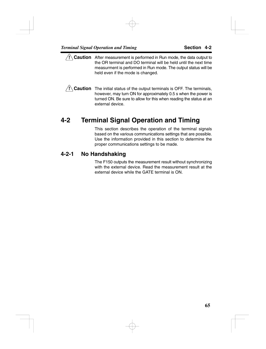- **! Caution** After measurement is performed in Run mode, the data output to the OR terminal and DO terminal will be held until the next time measurment is performed in Run mode. The output status will be held even if the mode is changed.
- **! Caution** The initial status of the output terminals is OFF. The terminals, however, may turn ON for approximately 0.5 s when the power is turned ON. Be sure to allow for this when reading the status at an external device.

# **4-2 Terminal Signal Operation and Timing**

This section describes the operation of the terminal signals based on the various communications settings that are possible. Use the information provided in this section to determine the proper communications settings to be made.

### **4-2-1 No Handshaking**

The F150 outputs the measurement result without synchronizing with the external device. Read the measurement result at the external device while the GATE terminal is ON.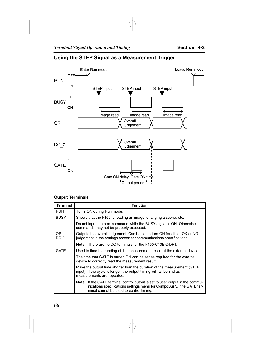

### **Using the STEP Signal as a Measurement Trigger**

#### **Output Terminals**

| <b>Terminal</b>   | <b>Function</b>                                                                                                                                                                                    |
|-------------------|----------------------------------------------------------------------------------------------------------------------------------------------------------------------------------------------------|
| <b>RUN</b>        | Turns ON during Run mode.                                                                                                                                                                          |
| <b>BUSY</b>       | Shows that the F150 is reading an image, changing a scene, etc.                                                                                                                                    |
|                   | Do not input the next command while the BUSY signal is ON. Otherwise,<br>commands may not be properly executed.                                                                                    |
| <b>OR</b><br>DO 0 | Outputs the overall judgement. Can be set to turn ON for either OK or NG<br>judgement in the settings screen for communications specifications.                                                    |
|                   | There are no DO terminals for the F150-C10E-2-DRT.<br>Note                                                                                                                                         |
| GATF              | Used to time the reading of the measurement result at the external device.                                                                                                                         |
|                   | The time that GATE is turned ON can be set as required for the external<br>device to correctly read the measurement result.                                                                        |
|                   | Make the output time shorter than the duration of the measurement (STEP<br>input). If the cycle is longer, the output timing will fall behind as<br>measurements are repeated.                     |
|                   | If the GATE terminal control output is set to user output in the commu-<br>Note<br>nications specifications settings menu for CompoBus/D, the GATE ter-<br>minal cannot be used to control timing. |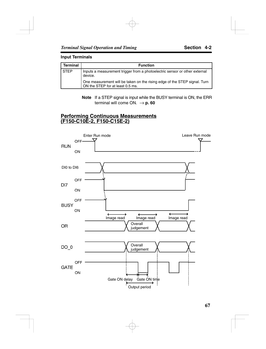#### **Input Terminals**

| Terminal    | <b>Function</b>                                                                                               |
|-------------|---------------------------------------------------------------------------------------------------------------|
| <b>STEP</b> | Inputs a measurement trigger from a photoelectric sensor or other external<br>device.                         |
|             | One measurement will be taken on the rising edge of the STEP signal. Turn<br>ON the STEP for at least 0.5 ms. |

**Note** If a STEP signal is input while the BUSY terminal is ON, the ERR terminal will come ON.  $\rightarrow$  **p. 60** 

#### **Performing Continuous Measurements (F150-C10E-2, F150-C15E-2)**

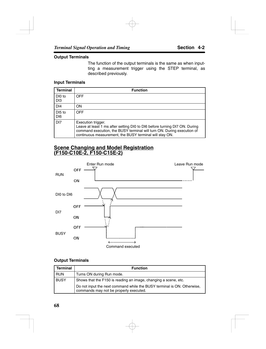#### **Output Terminals**

The function of the output terminals is the same as when inputting a measurement trigger using the STEP terminal, as described previously.

#### **Input Terminals**

| <b>Terminal</b>                       | <b>Function</b>                                                                                                                                                                                                                       |
|---------------------------------------|---------------------------------------------------------------------------------------------------------------------------------------------------------------------------------------------------------------------------------------|
| DI0 to<br>D <sub>13</sub>             | <b>OFF</b>                                                                                                                                                                                                                            |
| D <sub>14</sub>                       | ON                                                                                                                                                                                                                                    |
| DI <sub>5</sub> to<br>D <sub>16</sub> | <b>OFF</b>                                                                                                                                                                                                                            |
| D <sub>17</sub>                       | Execution trigger.<br>Leave at least 1 ms after setting DI0 to DI6 before turning DI7 ON. During<br>command execution, the BUSY terminal will turn ON. During execution of<br>continuous measurement, the BUSY terminal will stay ON. |

#### **Scene Changing and Model Registration (F150-C10E-2, F150-C15E-2)**



#### **Output Terminals**

| <b>Terminal</b> | <b>Function</b>                                                                                                   |
|-----------------|-------------------------------------------------------------------------------------------------------------------|
| <b>RUN</b>      | Turns ON during Run mode.                                                                                         |
| <b>BUSY</b>     | Shows that the F150 is reading an image, changing a scene, etc.                                                   |
|                 | Do not input the next command while the BUSY terminal is ON. Otherwise,<br>commands may not be properly executed. |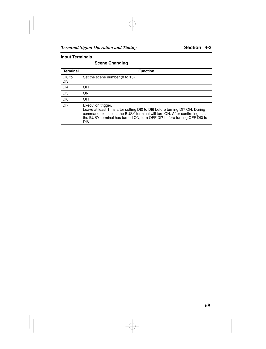#### **Input Terminals**

#### **Scene Changing**

| <b>Terminal</b>           | <b>Function</b>                                                                                                                                                                                                                                                 |
|---------------------------|-----------------------------------------------------------------------------------------------------------------------------------------------------------------------------------------------------------------------------------------------------------------|
| DI0 to<br>D <sub>13</sub> | Set the scene number (0 to 15).                                                                                                                                                                                                                                 |
| D <sub>14</sub>           | <b>OFF</b>                                                                                                                                                                                                                                                      |
| D <sub>15</sub>           | ON                                                                                                                                                                                                                                                              |
| DI <sub>6</sub>           | <b>OFF</b>                                                                                                                                                                                                                                                      |
| D <sub>17</sub>           | Execution trigger.<br>Leave at least 1 ms after setting DI0 to DI6 before turning DI7 ON. During<br>command execution, the BUSY terminal will turn ON. After confirming that<br>the BUSY terminal has turned ON, turn OFF DI7 before turning OFF DI0 to<br>DI6. |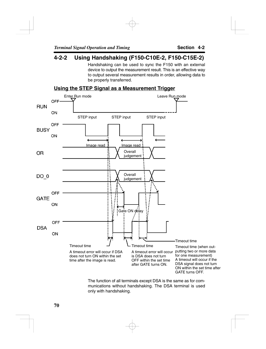### **4-2-2 Using Handshaking (F150-C10E-2, F150-C15E-2)**

Handshaking can be used to sync the F150 with an external device to output the measurement result. This is an effective way to output several measurement results in order, allowing data to be properly transferred.

### **Using the STEP Signal as a Measurement Trigger**



The function of all terminals except DSA is the same as for communications without handshaking. The DSA terminal is used only with handshaking.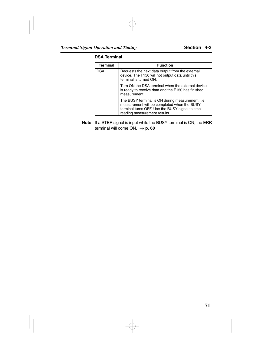#### **DSA Terminal**

| <b>Terminal</b> | <b>Function</b>                                                                                                                                                                     |
|-----------------|-------------------------------------------------------------------------------------------------------------------------------------------------------------------------------------|
| DSA             | Requests the next data output from the external<br>device. The F150 will not output data until this<br>terminal is turned ON.                                                       |
|                 | Turn ON the DSA terminal when the external device<br>is ready to receive data and the F150 has finished<br>measurement.                                                             |
|                 | The BUSY terminal is ON during measurement, i.e.,<br>measurement will be completed when the BUSY<br>terminal turns OFF. Use the BUSY signal to time<br>reading measurement results. |

**Note** If a STEP signal is input while the BUSY terminal is ON, the ERR terminal will come ON.  $\rightarrow$  **p. 60**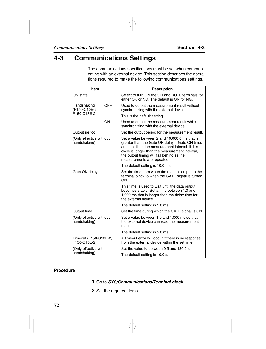# **4-3 Communications Settings**

The communications specifications must be set when communicating with an external device. This section describes the operations required to make the following communications settings.

| <b>Item</b>                             |            | <b>Description</b>                                                                                                                                                                                                                                                              |  |  |
|-----------------------------------------|------------|---------------------------------------------------------------------------------------------------------------------------------------------------------------------------------------------------------------------------------------------------------------------------------|--|--|
| ON state                                |            | Select to turn ON the OR and DO 0 terminals for<br>either OK or NG. The default is ON for NG.                                                                                                                                                                                   |  |  |
| Handshaking<br>(F150-C10E-2,            | <b>OFF</b> | Used to output the measurement result without<br>synchronizing with the external device.                                                                                                                                                                                        |  |  |
| F150-C15E-2)                            |            | This is the default setting.                                                                                                                                                                                                                                                    |  |  |
|                                         | ON         | Used to output the measurement result while<br>synchronizing with the external device.                                                                                                                                                                                          |  |  |
| Output period                           |            | Set the output period for the measurement result.                                                                                                                                                                                                                               |  |  |
| (Only effective without<br>handshaking) |            | Set a value between 2 and 10,000.0 ms that is<br>greater than the Gate ON delay + Gate ON time,<br>and less than the measurement interval. If this<br>cycle is longer than the measurement interval,<br>the output timing will fall behind as the<br>measurements are repeated. |  |  |
|                                         |            | The default setting is 10.0 ms.                                                                                                                                                                                                                                                 |  |  |
| Gate ON delay                           |            | Set the time from when the result is output to the<br>terminal block to when the GATE signal is turned<br>ON.                                                                                                                                                                   |  |  |
|                                         |            | This time is used to wait until the data output<br>becomes stable. Set a time between 1.0 and<br>1,000 ms that is longer than the delay time for<br>the external device.                                                                                                        |  |  |
|                                         |            | The default setting is 1.0 ms.                                                                                                                                                                                                                                                  |  |  |
| Output time                             |            | Set the time during which the GATE signal is ON.                                                                                                                                                                                                                                |  |  |
| (Only effective without<br>handshaking) |            | Set a value between 1.0 and 1,000 ms so that<br>the external device can read the measurement<br>result.                                                                                                                                                                         |  |  |
|                                         |            | The default setting is 5.0 ms.                                                                                                                                                                                                                                                  |  |  |
| Timeout (F150-C10E-2,<br>F150-C15E-2)   |            | A timeout error will occur if there is no response<br>from the external device within the set time.                                                                                                                                                                             |  |  |
| (Only effective with                    |            | Set the value to between 0.5 and 120.0 s.                                                                                                                                                                                                                                       |  |  |
| handshaking)                            |            | The default setting is 10.0 s.                                                                                                                                                                                                                                                  |  |  |

#### **Procedure**

- **1** Go to *SYS/Communications/Terminal block*.
- **2** Set the required items.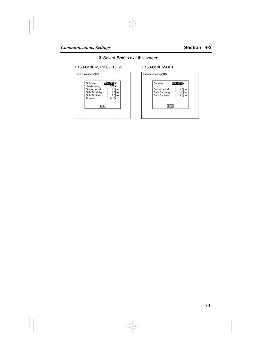**3** Select *End* to exit this screen.

F150-C10E-2, F150-C15E-2 F150-C10E-2-DRT

| ON state        |                             | <b>NG: ON</b> |
|-----------------|-----------------------------|---------------|
| Handshaking     | ÷.                          | <b>OFF▼</b>   |
| Output period : |                             | $10.0$ ms     |
| Gate ON delay : |                             | $1.0$ ms      |
| Gate ON time    | $\mathcal{L}_{\mathcal{A}}$ | $5.0$ ms      |
| Timeout         | ÷.                          | $10.0$ ]s     |
| End             |                             |               |

| ON state          |  | NG: ON     |
|-------------------|--|------------|
| Output period     |  | $10.0$ ]ms |
| Gate ON delay : [ |  | $1.0$ ms   |
| Gate ON time : [  |  | $5.0$ ]ms  |
| End               |  |            |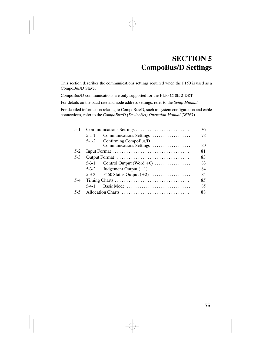# **SECTION 5 CompoBus/D Settings**

This section describes the communications settings required when the F150 is used as a CompoBus/D Slave.

CompoBus/D communications are only supported for the F150-C10E-2-DRT.

For details on the baud rate and node address settings, refer to the *Setup Manual*.

For detailed information relating to CompoBus/D, such as system configuration and cable connections, refer to the *CompoBus/D (DeviceNet) Operation Manual* (W267).

| $5-1$   |                                                                 | 76 |  |  |
|---------|-----------------------------------------------------------------|----|--|--|
|         | Communications Settings<br>$5 - 1 - 1$                          | 78 |  |  |
|         | Confirming CompoBus/D<br>$5 - 1 - 2$<br>Communications Settings | 80 |  |  |
| $5-2$   |                                                                 | 81 |  |  |
| $5-3$   | Output Format                                                   | 83 |  |  |
|         | $5 - 3 - 1$<br>Control Output (Word $+0$ )                      | 83 |  |  |
|         | $5 - 3 - 2$<br>Judgement Output $(+1)$                          | 84 |  |  |
|         | 5-3-3 F150 Status Output $(+2)$                                 | 84 |  |  |
| $5-4$   |                                                                 |    |  |  |
|         | Basic Mode<br>$5-4-1$                                           | 85 |  |  |
| $5 - 5$ |                                                                 | 88 |  |  |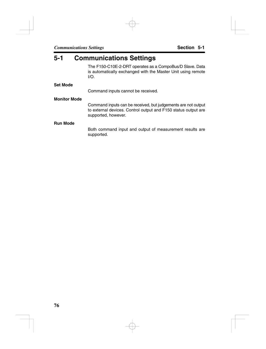## **5-1 Communications Settings**

The F150-C10E-2-DRT operates as a CompoBus/D Slave. Data is automatically exchanged with the Master Unit using remote I/O.

#### **Set Mode**

Command inputs cannot be received.

#### **Monitor Mode**

Command inputs can be received, but judgements are not output to external devices. Control output and F150 status output are supported, however.

#### **Run Mode**

Both command input and output of measurement results are supported.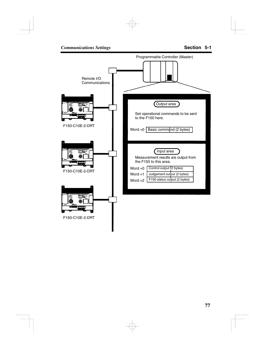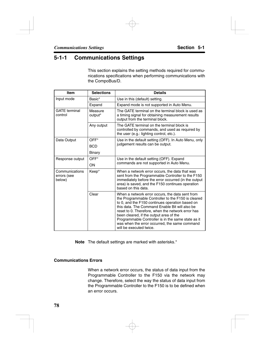### **5-1-1 Communications Settings**

This section explains the setting methods required for communications specifications when performing communications with the CompoBus/D.

| Item                                    | <b>Selections</b>                                                                                                                                                                                                                               | <b>Details</b>                                                                                                                                                                                                                                                                                                                                                                                                                               |
|-----------------------------------------|-------------------------------------------------------------------------------------------------------------------------------------------------------------------------------------------------------------------------------------------------|----------------------------------------------------------------------------------------------------------------------------------------------------------------------------------------------------------------------------------------------------------------------------------------------------------------------------------------------------------------------------------------------------------------------------------------------|
| Input mode                              | Basic*                                                                                                                                                                                                                                          | Use in this (default) setting.                                                                                                                                                                                                                                                                                                                                                                                                               |
|                                         | Expand                                                                                                                                                                                                                                          | Expand mode is not supported in Auto Menu.                                                                                                                                                                                                                                                                                                                                                                                                   |
| <b>GATE</b> terminal<br>control         | Measure<br>output*                                                                                                                                                                                                                              | The GATE terminal on the terminal block is used as<br>a timing signal for obtaining measurement results<br>output from the terminal block.                                                                                                                                                                                                                                                                                                   |
|                                         | Any output                                                                                                                                                                                                                                      | The GATE terminal on the terminal block is<br>controlled by commands, and used as required by<br>the user (e.g.: lighting control, etc.).                                                                                                                                                                                                                                                                                                    |
| Data Output                             | OFF*                                                                                                                                                                                                                                            | Use in the default setting (OFF). In Auto Menu, only                                                                                                                                                                                                                                                                                                                                                                                         |
|                                         | <b>BCD</b>                                                                                                                                                                                                                                      | judgement results can be output.                                                                                                                                                                                                                                                                                                                                                                                                             |
|                                         | Binary                                                                                                                                                                                                                                          |                                                                                                                                                                                                                                                                                                                                                                                                                                              |
| Response output                         | OFF*                                                                                                                                                                                                                                            | Use in the default setting (OFF). Expand                                                                                                                                                                                                                                                                                                                                                                                                     |
|                                         | ON                                                                                                                                                                                                                                              | commands are not supported in Auto Menu.                                                                                                                                                                                                                                                                                                                                                                                                     |
| Communications<br>errors (see<br>below) | Keep*<br>When a network error occurs, the data that was<br>sent from the Programmable Controller to the F150<br>immediately before the error occurred (in the output<br>area) is saved, and the F150 continues operation<br>based on this data. |                                                                                                                                                                                                                                                                                                                                                                                                                                              |
|                                         | Clear                                                                                                                                                                                                                                           | When a network error occurs, the data sent from<br>the Programmable Controller to the F150 is cleared<br>to 0, and the F150 continues operation based on<br>this data. The Command Enable Bit will also be<br>reset to 0. Therefore, when the network error has<br>been cleared, if the output area of the<br>Programmable Controller is in the same state as it<br>was when the error occurred, the same command<br>will be executed twice. |

**Note** The default settings are marked with asterisks.\*

#### **Communications Errors**

When a network error occurs, the status of data input from the Programmable Controller to the F150 via the network may change. Therefore, select the way the status of data input from the Programmable Controller to the F150 is to be defined when an error occurs.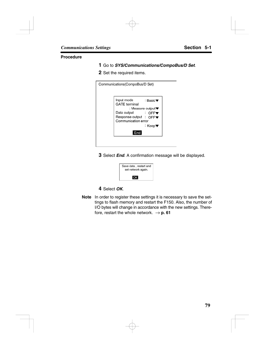#### **Procedure**

- **1** Go to *SYS/Communications/CompoBus/D Set*.
- **2** Set the required items.

| Communications(CompoBus/D Set)     |                                       |  |
|------------------------------------|---------------------------------------|--|
|                                    |                                       |  |
| Input mode<br><b>GATE</b> terminal | ∶ Basic▼                              |  |
|                                    | : Measure output $\blacktriangledown$ |  |
| Data output                        | $\overline{C}$ . Of $\overline{C}$    |  |
| Response output : OFF▼             |                                       |  |
| Communication error                | ∶ Keep▼                               |  |
|                                    |                                       |  |
| End                                |                                       |  |
|                                    |                                       |  |

**3** Select *End*. A confirmation message will be displayed.



#### **4** Select *OK*.

**Note** In order to register these settings it is necessary to save the settings to flash memory and restart the F150. Also, the number of I/O bytes will change in accordance with the new settings. Therefore, restart the whole network.  $\rightarrow$  **p. 61**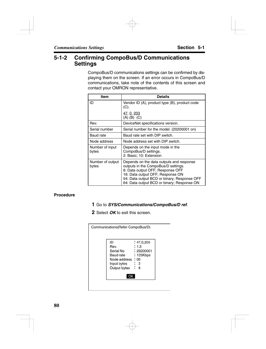### **5-1-2 Confirming CompoBus/D Communications Settings**

CompoBus/D communications settings can be confirmed by displaying them on the screen. If an error occurs in CompoBus/D communications, take note of the contents of this screen and contact your OMRON representative.

| Item                      | <b>Details</b>                                                                                                                                                                                                                                       |
|---------------------------|------------------------------------------------------------------------------------------------------------------------------------------------------------------------------------------------------------------------------------------------------|
| ID                        | Vendor ID (A), product type (B), product code<br>(C).                                                                                                                                                                                                |
|                           | <u>47, 0, 203</u><br>$(A)$ $(B)$ $(C)$                                                                                                                                                                                                               |
| Rev.                      | DeviceNet specifications version.                                                                                                                                                                                                                    |
| Serial number             | Serial number for the model. (20200001 on)                                                                                                                                                                                                           |
| Baud rate                 | Baud rate set with DIP switch.                                                                                                                                                                                                                       |
| Node address              | Node address set with DIP switch.                                                                                                                                                                                                                    |
| Number of input<br>bytes  | Depends on the input mode in the<br>CompoBus/D settings.<br>2: Basic; 10: Extension                                                                                                                                                                  |
| Number of output<br>bytes | Depends on the data outputs and response<br>outputs in the CompoBus/D settings.<br>6: Data output OFF; Response OFF<br>16: Data output OFF; Response ON<br>54: Data output BCD or binary; Response OFF<br>64: Data output BCD or binary; Response ON |

#### **Procedure**

- **1** Go to *SYS/Communications/CompoBus/D ref*.
- **2** Select *OK* to exit this screen.

| : 1.3             |
|-------------------|
|                   |
| : 20200001        |
| : 125Kbps         |
| Node address : 00 |
| : 2               |
| : 6               |
|                   |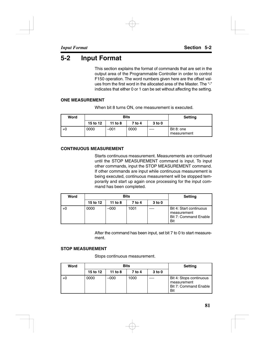# **5-2 Input Format**

This section explains the format of commands that are set in the output area of the Programmable Controller in order to control F150 operation. The word numbers given here are the offset values from the first word in the allocated area of the Master. The "-" indicates that either 0 or 1 can be set without affecting the setting.

#### **ONE MEASUREMENT**

When bit 8 turns ON, one measurement is executed.

| Word |          | Bits    | <b>Setting</b> |                   |                           |
|------|----------|---------|----------------|-------------------|---------------------------|
|      | 15 to 12 | 11 to 8 | 7 to 4         | 3 <sub>to</sub> 0 |                           |
| $+0$ | 0000     | -001    | 0000           | $- - - -$         | Bit 8: one<br>measurement |

#### **CONTINUOUS MEASUREMENT**

Starts continuous measurement. Measurements are continued until the STOP MEASUREMENT command is input. To input other commands, input the STOP MEASUREMENT command. If other commands are input while continuous measurement is being executed, continuous measurement will be stopped temporarily and start up again once processing for the input command has been completed.

| Word |          | <b>Bits</b> | Setting |                   |                                                                        |
|------|----------|-------------|---------|-------------------|------------------------------------------------------------------------|
|      | 15 to 12 | 11 to 8     | 7 to 4  | 3 <sub>to</sub> 0 |                                                                        |
| +0   | 0000     | $-000$      | 1001    |                   | Bit 4: Start continuous<br>measurement<br>Bit 7: Command Enable<br>Bit |

After the command has been input, set bit 7 to 0 to start measurement.

#### **STOP MEASUREMENT**

Stops continuous measurement.

| Word |          | <b>Bits</b> | <b>Setting</b> |                   |                                                                        |
|------|----------|-------------|----------------|-------------------|------------------------------------------------------------------------|
|      | 15 to 12 | 11 to 8     | 7 to 4         | 3 <sub>to</sub> 0 |                                                                        |
| $+0$ | 0000     | -000        | 1000           |                   | Bit 4: Stops continuous<br>measurement<br>Bit 7: Command Enable<br>Bit |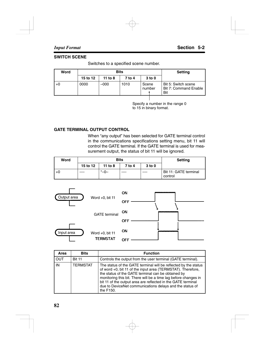#### **SWITCH SCENE**

Switches to a specified scene number.

| Word | <b>Bits</b> |         |        |                   | <b>Setting</b>                                      |
|------|-------------|---------|--------|-------------------|-----------------------------------------------------|
|      | 15 to 12    | 11 to 8 | 7 to 4 | 3 <sub>to</sub> 0 |                                                     |
| $+0$ | 0000        | –000    | 1010   | Scene<br>number   | Bit 5: Switch scene<br>Bit 7: Command Enable<br>Bit |
|      |             |         |        |                   |                                                     |

Specify a number in the range 0 to 15 in binary format.

#### **GATE TERMINAL OUTPUT CONTROL**

When "any output" has been selected for GATE terminal control in the communications specifications setting menu, bit 11 will control the GATE terminal. If the GATE terminal is used for measurement output, the status of bit 11 will be ignored.

| Word |          | <b>Bits</b> | <b>Setting</b> |                   |                                  |
|------|----------|-------------|----------------|-------------------|----------------------------------|
|      | 15 to 12 | 11 to $8$   | 7 to 4         | 3 <sub>to</sub> 0 |                                  |
|      | ----     | $-0-$       | ----           | $\frac{1}{2}$     | Bit 11: GATE terminal<br>control |



| Area | <b>Bits</b>     | <b>Function</b>                                                                                                                                                                                                                                                                                                                                                                                  |
|------|-----------------|--------------------------------------------------------------------------------------------------------------------------------------------------------------------------------------------------------------------------------------------------------------------------------------------------------------------------------------------------------------------------------------------------|
| OUT  | <b>Bit 11</b>   | Controls the output from the user terminal (GATE terminal).                                                                                                                                                                                                                                                                                                                                      |
| IN   | <b>TERMSTAT</b> | The status of the GATE terminal will be reflected by the status<br>of word +0, bit 11 of the input area (TERMSTAT). Therefore,<br>the status of the GATE terminal can be obtained by<br>monitoring this bit. There will be a time lag before changes in<br>bit 11 of the output area are reflected in the GATE terminal<br>due to DeviceNet communications delays and the status of<br>the F150. |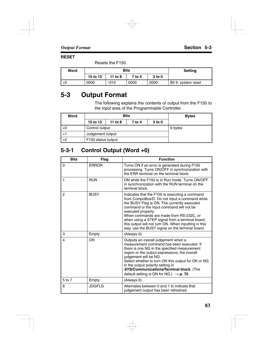#### **RESET**

Resets the F150.

| Word |          | <b>Bits</b> | <b>Setting</b> |                   |                     |
|------|----------|-------------|----------------|-------------------|---------------------|
|      | 15 to 12 | 11 to 8     | 7 to 4         | 3 <sub>to</sub> 0 |                     |
| $+0$ | 0000     | $-010$      | 0000           | 0000              | Bit 9: system reset |

# **5-3 Output Format**

The following explains the contents of output from the F150 to the input area of the Programmable Controller.

| Word | <b>Bits</b>                                        |  |         |  | <b>Bytes</b> |
|------|----------------------------------------------------|--|---------|--|--------------|
|      | 15 to 12<br>3 <sub>to</sub> 0<br>11 to 8<br>7 to 4 |  |         |  |              |
| $+0$ | Control output                                     |  | 6 bytes |  |              |
| $+1$ | Judgement output                                   |  |         |  |              |
| $+2$ | F <sub>150</sub> status output                     |  |         |  |              |

### **5-3-1 Control Output (Word +0)**

| <b>Bits</b>    | Flag         | <b>Function</b>                                                                                                                                                                                                                                                                                                                                                                                                           |
|----------------|--------------|---------------------------------------------------------------------------------------------------------------------------------------------------------------------------------------------------------------------------------------------------------------------------------------------------------------------------------------------------------------------------------------------------------------------------|
| 0              | <b>ERROR</b> | Turns ON if an error is generated during F150<br>processing. Turns ON/OFF in synchronization with<br>the ERR terminal on the terminal block.                                                                                                                                                                                                                                                                              |
| 1              | <b>RUN</b>   | ON while the F150 is in Run mode. Turns ON/OFF<br>in synchronization with the RUN terminal on the<br>terminal block.                                                                                                                                                                                                                                                                                                      |
| $\overline{2}$ | <b>BUSY</b>  | Indicates that the F150 is executing a command<br>from CompoBus/D. Do not input a command while<br>the BUSY Flag is ON. The currently executed<br>command or the input command will not be<br>executed properly.<br>When commands are made from RS-232C, or<br>when using a STEP signal from a terminal board,<br>this output will not turn ON. When inputting in this<br>way, use the BUSY signal on the terminal board. |
| 3              | Empty        | (Always 0)                                                                                                                                                                                                                                                                                                                                                                                                                |
| 4              | OR           | Outputs an overall judgement when a<br>measurement command has been executed. If<br>there is one NG in the specified measurement<br>region or the output expressions, the overall<br>judgement will be NG.<br>Select whether to turn ON this output for OK or NG<br>in the output polarity setting in<br>SYS/Communications/Terminal block. (The<br>default setting is ON for NG.) $\rightarrow$ <b>p. 72</b>             |
| 5 to 7         | Empty        | (Always 0)                                                                                                                                                                                                                                                                                                                                                                                                                |
| 8              | JDGFLG       | Alternates between 0 and 1 to indicate that<br>judgement output has been refreshed.                                                                                                                                                                                                                                                                                                                                       |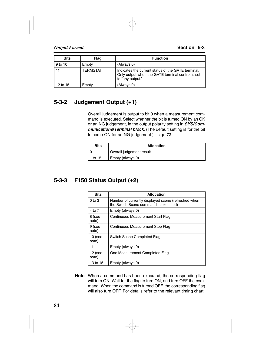| <b>Bits</b> | Flag            | <b>Function</b>                                                                                                             |
|-------------|-----------------|-----------------------------------------------------------------------------------------------------------------------------|
| 9 to 10     | Empty           | (Always 0)                                                                                                                  |
| 11          | <b>TERMSTAT</b> | Indicates the current status of the GATE terminal.<br>Only output when the GATE terminal control is set<br>to "any output." |
| 12 to 15    | Empty           | (Always 0)                                                                                                                  |

### **5-3-2 Judgement Output (+1)**

Overall judgement is output to bit 0 when a measurement command is executed. Select whether the bit is turned ON by an OK or an NG judgement, in the output polarity setting in *SYS/Communications***/***Terminal block*. (The default setting is for the bit to come ON for an NG judgement.)  $\rightarrow$  **p. 72** 

| <b>Bits</b> | <b>Allocation</b>        |  |
|-------------|--------------------------|--|
|             | Overall judgement result |  |
| $1$ to 15   | Empty (always 0)         |  |

### **5-3-3 F150 Status Output (+2)**

| <b>Bits</b>        | <b>Allocation</b>                                                                            |  |
|--------------------|----------------------------------------------------------------------------------------------|--|
| $0$ to $3$         | Number of currently displayed scene (refreshed when<br>the Switch Scene command is executed) |  |
| 4 to 7             | Empty (always 0)                                                                             |  |
| 8 (see<br>note)    | Continuous Measurement Start Flag                                                            |  |
| 9 (see<br>note)    | Continuous Measurement Stop Flag                                                             |  |
| $10$ (see<br>note) | Switch Scene Completed Flag                                                                  |  |
| 11                 | Empty (always 0)                                                                             |  |
| 12 (see<br>note)   | One Measurement Completed Flag                                                               |  |
| 13 to 15           | Empty (always 0)                                                                             |  |

**Note** When a command has been executed, the corresponding flag will turn ON. Wait for the flag to turn ON, and turn OFF the command. When the command is turned OFF, the corresponding flag will also turn OFF. For details refer to the relevant timing chart.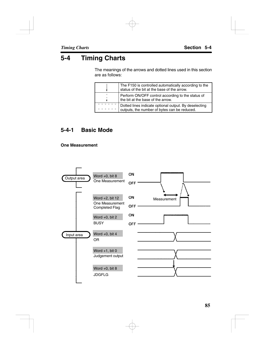# **5-4 Timing Charts**

The meanings of the arrows and dotted lines used in this section are as follows:

| The F150 is controlled automatically according to the<br>status of the bit at the base of the arrow.  |
|-------------------------------------------------------------------------------------------------------|
| Perform ON/OFF control according to the status of<br>the bit at the base of the arrow.                |
| Dotted lines indicate optional output. By deselecting<br>outputs, the number of bytes can be reduced. |

### **5-4-1 Basic Mode**

**One Measurement**

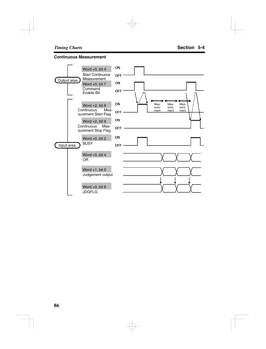#### **Continuous Measurement**

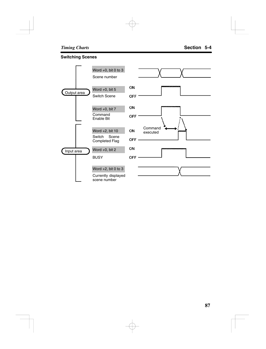#### **Switching Scenes**

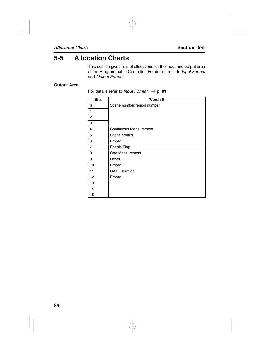## **5-5 Allocation Charts**

This section gives lists of allocations for the input and output area of the Programmable Controller. For details refer to *Input Format* and *Output Format*.

#### **Output Area**

For details refer to *Input Format.*  $\rightarrow$  **p. 81** 

| <b>Bits</b>    | Word $+0$                     |
|----------------|-------------------------------|
| 0              | Scene number/region number    |
| 1              |                               |
| 2              |                               |
| 3              |                               |
| 4              | <b>Continuous Measurement</b> |
| 5              | <b>Scene Switch</b>           |
| 6              | Empty                         |
| $\overline{7}$ | Enable Flag                   |
| 8              | One Measurement               |
| 9              | Reset                         |
| 10             | Empty                         |
| 11             | <b>GATE Terminal</b>          |
| 12             | Empty                         |
| 13             |                               |
| 14             |                               |
| 15             |                               |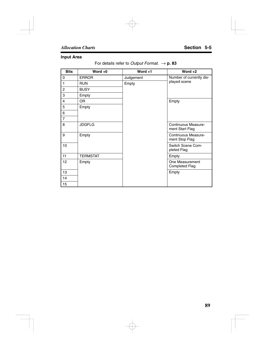#### **Input Area**

#### For details refer to *Output Format.*  $\rightarrow$  **p. 83**

| <b>Bits</b>             | Word $+0$       | Word $+1$ | Word $+2$                                |
|-------------------------|-----------------|-----------|------------------------------------------|
| 0                       | <b>ERROR</b>    | Judgement | Number of currently dis-                 |
| 1                       | <b>RUN</b>      | Empty     | played scene                             |
| $\overline{2}$          | <b>BUSY</b>     |           |                                          |
| 3                       | Empty           |           |                                          |
| $\overline{\mathbf{4}}$ | OR.             |           | Empty                                    |
| 5                       | Empty           |           |                                          |
| 6                       |                 |           |                                          |
| $\overline{7}$          |                 |           |                                          |
| 8                       | <b>JDGFLG</b>   |           | Continuous Measure-<br>ment Start Flag   |
| 9                       | Empty           |           | Continuous Measure-<br>ment Stop Flag    |
| 10                      |                 |           | Switch Scene Com-<br>pleted Flag         |
| 11                      | <b>TERMSTAT</b> |           | Empty                                    |
| 12                      | Empty           |           | One Measurement<br><b>Completed Flag</b> |
| 13                      |                 |           | Empty                                    |
| 14                      |                 |           |                                          |
| 15                      |                 |           |                                          |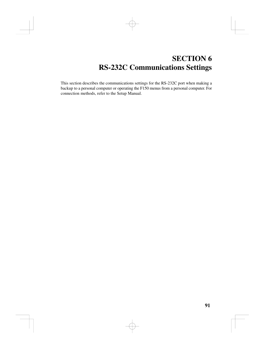# **SECTION 6 RS-232C Communications Settings**

This section describes the communications settings for the RS-232C port when making a backup to a personal computer or operating the F150 menus from a personal computer. For connection methods, refer to the Setup Manual.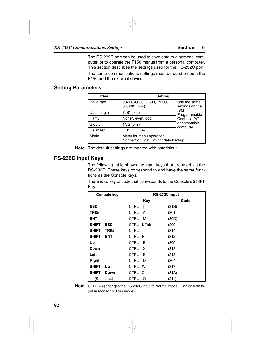The RS-232C port can be used to save data to a personal computer, or to operate the F150 menus from a personal computer. This section describes the settings used for the RS-232C port.

The same communications settings must be used on both the F150 and the external device.

#### **Setting Parameters**

| Item             | Setting                                                          |                                 |
|------------------|------------------------------------------------------------------|---------------------------------|
| <b>Baud</b> rate | 2,400, 4,800, 9,600, 19,200,<br>38,400* (bps)                    | Use the same<br>settings on the |
| Data length      | $7, 8^*$ (bits)                                                  | <b>IBM</b><br>Programmable      |
| Parity           | None*, even, odd                                                 | Controller/AT                   |
| Stop bit         | $1^*$ , 2 (bits)                                                 | or compatible<br>computer.      |
| Delimiter        | CR*, LF, CR+LF                                                   |                                 |
| Mode             | Menu for menu operation<br>Normal* or Host Link for data backup. |                                 |

**Note** The default settings are marked with asterisks.\*

#### **RS-232C Input Keys**

The following table shows the input keys that are used via the RS-232C. These keys correspond to and have the same functions as the Console keys.

There is no key or code that corresponds to the Console's **SHIFT** Key.

| Console key         | RS-232C input |           |
|---------------------|---------------|-----------|
|                     | Key           | Code      |
| <b>ESC</b>          | $CTRL + I$    | (\$1B)    |
| TRIG                | $CTRL + A$    | (S01)     |
| <b>ENT</b>          | $CTRL + M$    | (SOD)     |
| <b>SHIFT + ESC</b>  | CTRL +I, Tab  | $($ \$09) |
| <b>SHIFT + TRIG</b> | CTRL+T        | (\$14)    |
| <b>SHIFT + ENT</b>  | CTRL+R        | ( \$12)   |
| Up                  | $CTRL + E$    | (\$05)    |
| Down                | $CTRL + X$    | ( \$18)   |
| Left                | $CTRL + S$    | (\$13)    |
| Right               | $CTRL + D$    | (\$04)    |
| SHIFT + Up          | CTRL+W        | (\$17)    |
| <b>SHIFT + Down</b> | $CTRL +Z$     | (\$1A)    |
| --- (See note.)     | $CTRL + Q$    | ( \$11)   |

**Note** CTRL + Q changes the RS-232C input to Normal mode. (Can only be input in Monitor or Run mode.)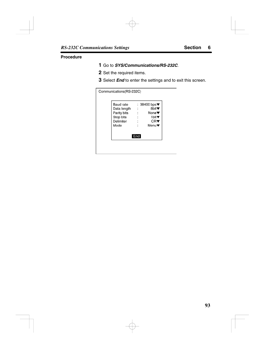#### **Procedure**

- Go to *SYS/Communications/RS-232C*.
- Set the required items.
- Select *End* to enter the settings and to exit this screen.

| Communications(RS-232C)                                                   |                                                                                                                                                                                                             |
|---------------------------------------------------------------------------|-------------------------------------------------------------------------------------------------------------------------------------------------------------------------------------------------------------|
| Baud rate<br>Data length<br>Parity bits<br>Stop bits<br>Delimiter<br>Mode | : 38400 bps $\blacktriangledown$<br>8bit▼<br>$\cdot$ :<br>None $\blacktriangledown$<br>$\ddot{\phantom{a}}$<br>1 $bit$ $\blacktriangledown$<br>$\ddot{\phantom{a}}$<br>CR▼<br>$\ddot{\phantom{a}}$<br>Menu▼ |
|                                                                           | End                                                                                                                                                                                                         |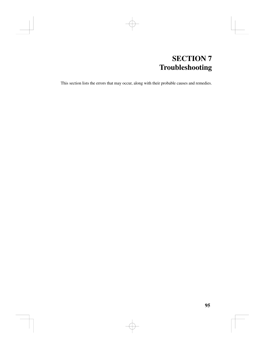# **SECTION 7 Troubleshooting**

This section lists the errors that may occur, along with their probable causes and remedies.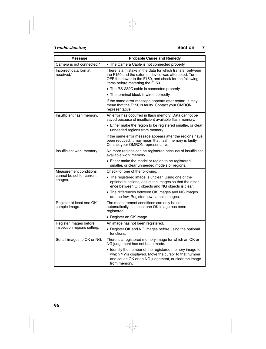| Message                                               | <b>Probable Cause and Remedy</b>                                                                                                                                                                                 |
|-------------------------------------------------------|------------------------------------------------------------------------------------------------------------------------------------------------------------------------------------------------------------------|
| Camera is not connected.*                             | • The Camera Cable is not connected properly.                                                                                                                                                                    |
| Incorrect data format<br>received.*                   | There is a mistake in the data for which transfer between<br>the F150 and the external device was attempted. Turn<br>OFF the power to the F150, and check for the following<br>items before restarting the F150. |
|                                                       | • The RS-232C cable is connected properly.                                                                                                                                                                       |
|                                                       | • The terminal block is wired correctly.                                                                                                                                                                         |
|                                                       | If the same error message appears after restart, it may<br>mean that the F150 is faulty. Contact your OMRON<br>representative.                                                                                   |
| Insufficient flash memory.                            | An error has occurred in flash memory. Data cannot be<br>saved because of insufficient available flash memory.                                                                                                   |
|                                                       | • Either make the region to be registered smaller, or clear<br>unneeded regions from memory.                                                                                                                     |
|                                                       | If the same error message appears after the regions have<br>been reduced, it may mean that flash memory is faulty.<br>Contact your OMRON representative.                                                         |
| Insufficient work memory.                             | No more regions can be registered because of insufficient<br>available work memory.                                                                                                                              |
|                                                       | • Either make the model or region to be registered<br>smaller, or clear unneeded models or regions.                                                                                                              |
| Measurement conditions                                | Check for one of the following:                                                                                                                                                                                  |
| cannot be set for current<br>images.                  | • The registered image is unclear. Using one of the<br>optional functions, adjust the images so that the differ-<br>ence between OK objects and NG objects is clear.                                             |
|                                                       | • The differences between OK images and NG images<br>are too few. Register new sample images.                                                                                                                    |
| Register at least one OK<br>sample image.             | The measurement conditions can only be set<br>automatically if at least one OK image has been<br>registered.                                                                                                     |
|                                                       | • Register an OK image.                                                                                                                                                                                          |
| Register images before<br>inspection regions setting. | An image has not been registered.                                                                                                                                                                                |
|                                                       | • Register OK and NG images before using the optional<br>functions.                                                                                                                                              |
| Set all images to OK or NG.                           | There is a registered memory image for which an OK or<br>NG judgement has not been made.                                                                                                                         |
|                                                       | • Identify the number of the registered memory image for<br>which ?? is displayed. Move the cursor to that number<br>and set an OK or an NG judgement, or clear the image<br>from memory.                        |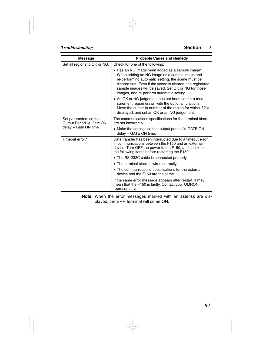| <b>Message</b>                                    | <b>Probable Cause and Remedy</b>                                                                                                                                                                                                                                                                                          |
|---------------------------------------------------|---------------------------------------------------------------------------------------------------------------------------------------------------------------------------------------------------------------------------------------------------------------------------------------------------------------------------|
| Set all regions to OK or NG.                      | Check for one of the following:                                                                                                                                                                                                                                                                                           |
|                                                   | • Has an NG image been added as a sample image?<br>When adding an NG image as a sample image and<br>re-performing automatic setting, the scene must be<br>cleared first. Even if the scene is cleared, the registered<br>sample images will be saved. Set OK or NG for those<br>images, and re-perform automatic setting. |
|                                                   | • An OK or NG judgement has not been set for a mea-<br>surement region drawn with the optional functions.<br>Move the cursor to number of the region for which ?? is<br>displayed, and set an OK or an NG judgement.                                                                                                      |
| Set parameters so that<br>Output Period ≧ Gate ON | The communications specifications for the terminal block<br>are set incorrectly.                                                                                                                                                                                                                                          |
| delay + Gate ON time.                             | • Make the settings so that output period $\geq$ GATE ON<br>delay + GATE ON time.                                                                                                                                                                                                                                         |
| Timeout error.*                                   | Data transfer has been interrupted due to a timeout error<br>in communications between the F150 and an external<br>device. Turn OFF the power to the F150, and check for<br>the following items before restarting the F150.                                                                                               |
|                                                   | • The RS-232C cable is connected properly.                                                                                                                                                                                                                                                                                |
|                                                   | • The terminal block is wired correctly.                                                                                                                                                                                                                                                                                  |
|                                                   | • The communications specifications for the external<br>device and the F150 are the same.                                                                                                                                                                                                                                 |
|                                                   | If the same error message appears after restart, it may<br>mean that the F150 is faulty. Contact your OMRON<br>representative.                                                                                                                                                                                            |

**Note** When the error messages marked with an asterisk are displayed, the ERR terminal will come ON.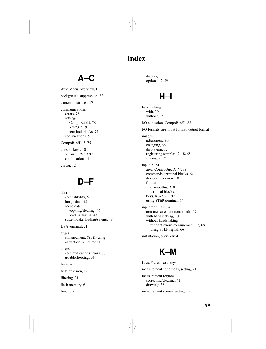# **Index**

# **A–C**

Auto Menu, overview, 1 background suppression, 32 camera, distances, 17 communications errors, 78 settings CompoBus/D, 78 RS-232C, 91 terminal blocks, 72 specifications, 5

CompoBus/D, 3, 75

console keys, 10 *See also* RS-232C combinations, 11

cursor, 12

# **D–F**

data compatibility, 5 image data, 48 scene data copying/clearing, 46 loading/saving, 48 system data, loading/saving, 48

DSA terminal, 71

edges enhancement. *See* filtering extraction. *See* filtering

errors communications errors, 78 troubleshooting, 95

features, 2

field of vision, 17

filtering, 31

flash memory, 61

functions

display, 12 optional, 2, 29

# **H–I**

handshaking with, 70 without, 65 I/O allocation, CompoBus/D, 88 I/O formats. *See* input format; output format images adjustment, 30 changing, 55 displaying, 17 registering samples, 2, 18, 68 storing, 2, 52 input, 5, 64 area, CompoBus/D, 77, 89 commands, terminal blocks, 64 devices, overview, 10 format CompoBus/D, 81 terminal blocks, 64 keys, RS-232C, 92 using STEP terminal, 64 input terminals, 64 non-measurement commands, 69 with handshaking, 70 without handshaking for continuous measurement, 67, 68 using STEP signal, 66 installation, overview, 4



keys. *See* console keys measurement conditions, setting, 21 measurement regions correcting/clearing, 41 drawing, 36 measurement screen, setting, 52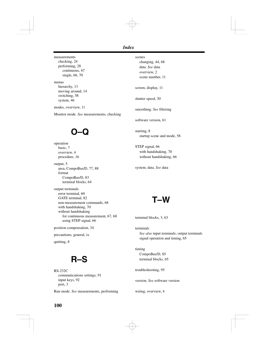measurements checking, 24 performing, 28 continuous, 67 single, 66, 70

menus hierarchy, 13 moving around, 14 switching, 58 system, 46

modes, overview, 11

Monitor mode. *See* measurements, checking

# **O–Q**

operation basic, 7 overview, 4 procedure, 16

output, 5 area, CompoBus/D, 77, 88 format CompoBus/D, 83 terminal blocks, 64

output terminals error terminal, 60 GATE terminal, 82 non-measurement commands, 68 with handshaking, 70 without handshaking for continuous measurement, 67, 68 using STEP signal, 66

position compensation, 34

precautions, general, ix

quitting, 8

# **R–S**

RS-232C communications settings, 91 input keys, 92 port, 3

Run mode. *See* measurements, performing

scenes changing, 44, 68 data. *See* data overview, 2

scene number, 11

screen, display, 11

shutter speed, 30

smoothing. *See* filtering

software version, 61

starting, 8 startup scene and mode, 58

STEP signal, 66 with handshaking, 70 without handshaking, 66

system, data. *See* data

**T–W**

terminal blocks, 3, 63

terminals *See also* input terminals; output terminals signal operation and timing, 65

timing CompoBus/D, 85 terminal blocks, 65

troubleshooting, 95

version. *See* software version

wiring, overview, 4